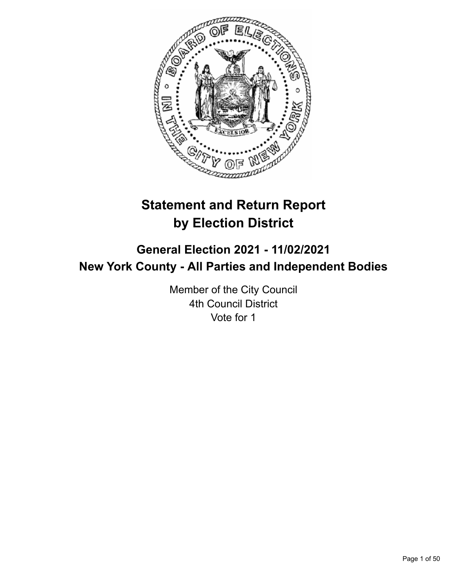

# **Statement and Return Report by Election District**

# **General Election 2021 - 11/02/2021 New York County - All Parties and Independent Bodies**

Member of the City Council 4th Council District Vote for 1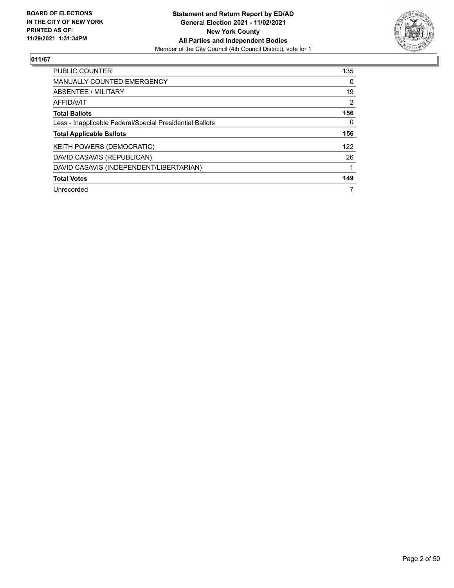

| <b>PUBLIC COUNTER</b>                                    | 135            |
|----------------------------------------------------------|----------------|
| <b>MANUALLY COUNTED EMERGENCY</b>                        | 0              |
| ABSENTEE / MILITARY                                      | 19             |
| AFFIDAVIT                                                | $\overline{2}$ |
| <b>Total Ballots</b>                                     | 156            |
| Less - Inapplicable Federal/Special Presidential Ballots | 0              |
| <b>Total Applicable Ballots</b>                          | 156            |
| KEITH POWERS (DEMOCRATIC)                                | 122            |
| DAVID CASAVIS (REPUBLICAN)                               | 26             |
| DAVID CASAVIS (INDEPENDENT/LIBERTARIAN)                  |                |
| <b>Total Votes</b>                                       | 149            |
| Unrecorded                                               | 7              |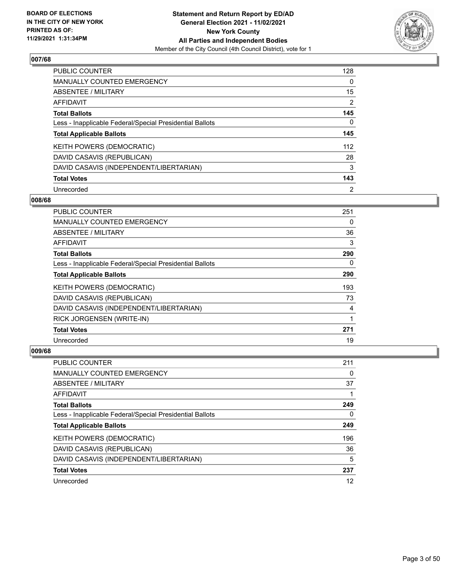

| <b>PUBLIC COUNTER</b>                                    | 128            |
|----------------------------------------------------------|----------------|
| <b>MANUALLY COUNTED EMERGENCY</b>                        | 0              |
| ABSENTEE / MILITARY                                      | 15             |
| <b>AFFIDAVIT</b>                                         | 2              |
| <b>Total Ballots</b>                                     | 145            |
| Less - Inapplicable Federal/Special Presidential Ballots | 0              |
| <b>Total Applicable Ballots</b>                          | 145            |
| KEITH POWERS (DEMOCRATIC)                                | 112            |
| DAVID CASAVIS (REPUBLICAN)                               | 28             |
| DAVID CASAVIS (INDEPENDENT/LIBERTARIAN)                  | 3              |
| <b>Total Votes</b>                                       | 143            |
| Unrecorded                                               | $\overline{2}$ |

#### **008/68**

| <b>PUBLIC COUNTER</b>                                    | 251      |
|----------------------------------------------------------|----------|
| <b>MANUALLY COUNTED EMERGENCY</b>                        | 0        |
| ABSENTEE / MILITARY                                      | 36       |
| AFFIDAVIT                                                | 3        |
| <b>Total Ballots</b>                                     | 290      |
| Less - Inapplicable Federal/Special Presidential Ballots | $\Omega$ |
| <b>Total Applicable Ballots</b>                          | 290      |
| KEITH POWERS (DEMOCRATIC)                                | 193      |
| DAVID CASAVIS (REPUBLICAN)                               | 73       |
| DAVID CASAVIS (INDEPENDENT/LIBERTARIAN)                  | 4        |
| RICK JORGENSEN (WRITE-IN)                                | 1        |
| <b>Total Votes</b>                                       | 271      |
| Unrecorded                                               | 19       |

| <b>PUBLIC COUNTER</b>                                    | 211 |
|----------------------------------------------------------|-----|
| <b>MANUALLY COUNTED EMERGENCY</b>                        | 0   |
| ABSENTEE / MILITARY                                      | 37  |
| AFFIDAVIT                                                |     |
| <b>Total Ballots</b>                                     | 249 |
| Less - Inapplicable Federal/Special Presidential Ballots | 0   |
| <b>Total Applicable Ballots</b>                          | 249 |
| KEITH POWERS (DEMOCRATIC)                                | 196 |
| DAVID CASAVIS (REPUBLICAN)                               | 36  |
| DAVID CASAVIS (INDEPENDENT/LIBERTARIAN)                  | 5   |
| <b>Total Votes</b>                                       | 237 |
| Unrecorded                                               | 12  |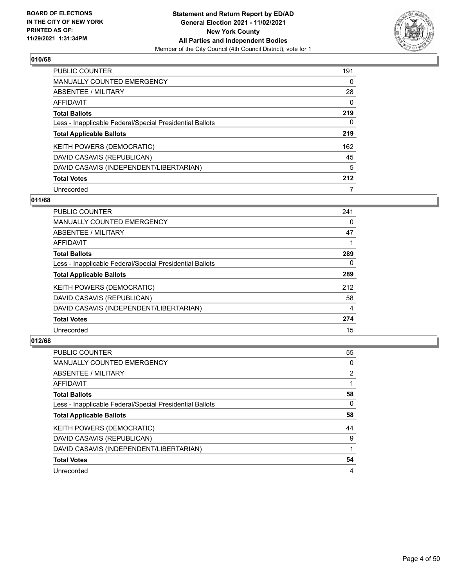

| <b>PUBLIC COUNTER</b>                                    | 191 |
|----------------------------------------------------------|-----|
| MANUALLY COUNTED EMERGENCY                               | 0   |
| ABSENTEE / MILITARY                                      | 28  |
| AFFIDAVIT                                                | 0   |
| <b>Total Ballots</b>                                     | 219 |
| Less - Inapplicable Federal/Special Presidential Ballots | 0   |
| <b>Total Applicable Ballots</b>                          | 219 |
| KEITH POWERS (DEMOCRATIC)                                | 162 |
| DAVID CASAVIS (REPUBLICAN)                               | 45  |
| DAVID CASAVIS (INDEPENDENT/LIBERTARIAN)                  | 5   |
| <b>Total Votes</b>                                       | 212 |
| Unrecorded                                               | 7   |

#### **011/68**

| PUBLIC COUNTER                                           | 241      |
|----------------------------------------------------------|----------|
| <b>MANUALLY COUNTED EMERGENCY</b>                        | 0        |
| ABSENTEE / MILITARY                                      | 47       |
| <b>AFFIDAVIT</b>                                         |          |
| <b>Total Ballots</b>                                     | 289      |
| Less - Inapplicable Federal/Special Presidential Ballots | $\Omega$ |
| <b>Total Applicable Ballots</b>                          | 289      |
| KEITH POWERS (DEMOCRATIC)                                | 212      |
| DAVID CASAVIS (REPUBLICAN)                               | 58       |
| DAVID CASAVIS (INDEPENDENT/LIBERTARIAN)                  | 4        |
| <b>Total Votes</b>                                       | 274      |
| Unrecorded                                               | 15       |

| <b>PUBLIC COUNTER</b>                                    | 55 |
|----------------------------------------------------------|----|
| MANUALLY COUNTED EMERGENCY                               | 0  |
| <b>ABSENTEE / MILITARY</b>                               | 2  |
| <b>AFFIDAVIT</b>                                         |    |
| <b>Total Ballots</b>                                     | 58 |
| Less - Inapplicable Federal/Special Presidential Ballots | 0  |
| <b>Total Applicable Ballots</b>                          | 58 |
|                                                          | 44 |
| KEITH POWERS (DEMOCRATIC)                                |    |
| DAVID CASAVIS (REPUBLICAN)                               | 9  |
| DAVID CASAVIS (INDEPENDENT/LIBERTARIAN)                  |    |
| <b>Total Votes</b>                                       | 54 |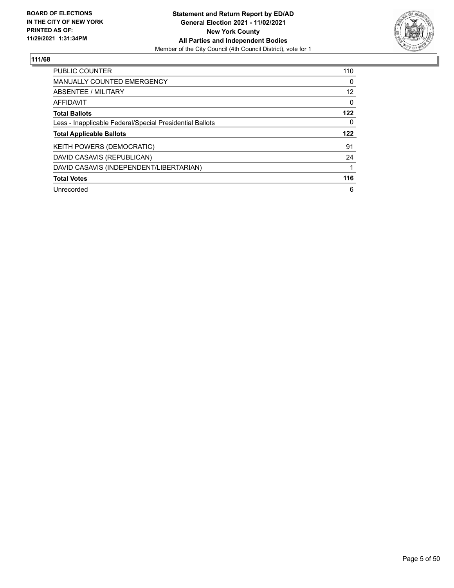

| PUBLIC COUNTER                                           | 110      |
|----------------------------------------------------------|----------|
| <b>MANUALLY COUNTED EMERGENCY</b>                        | $\Omega$ |
| ABSENTEE / MILITARY                                      | 12       |
| AFFIDAVIT                                                | 0        |
| <b>Total Ballots</b>                                     | 122      |
| Less - Inapplicable Federal/Special Presidential Ballots | 0        |
| <b>Total Applicable Ballots</b>                          | 122      |
| <b>KEITH POWERS (DEMOCRATIC)</b>                         | 91       |
| DAVID CASAVIS (REPUBLICAN)                               | 24       |
| DAVID CASAVIS (INDEPENDENT/LIBERTARIAN)                  |          |
| <b>Total Votes</b>                                       | 116      |
| Unrecorded                                               | 6        |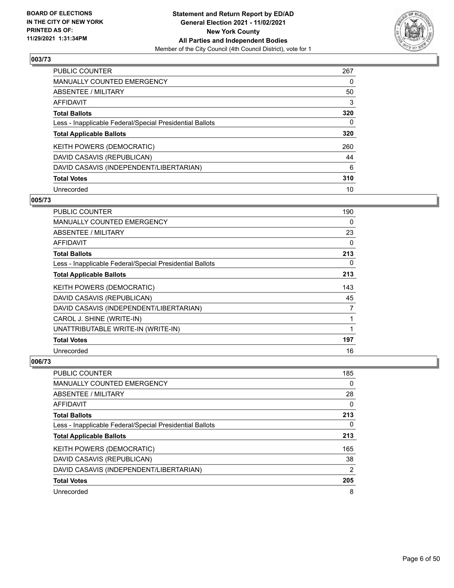

| <b>PUBLIC COUNTER</b>                                    | 267 |
|----------------------------------------------------------|-----|
| <b>MANUALLY COUNTED EMERGENCY</b>                        | 0   |
| ABSENTEE / MILITARY                                      | 50  |
| AFFIDAVIT                                                | 3   |
| <b>Total Ballots</b>                                     | 320 |
| Less - Inapplicable Federal/Special Presidential Ballots | 0   |
| <b>Total Applicable Ballots</b>                          | 320 |
| KEITH POWERS (DEMOCRATIC)                                | 260 |
| DAVID CASAVIS (REPUBLICAN)                               | 44  |
| DAVID CASAVIS (INDEPENDENT/LIBERTARIAN)                  | 6   |
| <b>Total Votes</b>                                       | 310 |
| Unrecorded                                               | 10  |

#### **005/73**

| <b>PUBLIC COUNTER</b>                                    | 190 |
|----------------------------------------------------------|-----|
| <b>MANUALLY COUNTED EMERGENCY</b>                        | 0   |
| ABSENTEE / MILITARY                                      | 23  |
| AFFIDAVIT                                                | 0   |
| <b>Total Ballots</b>                                     | 213 |
| Less - Inapplicable Federal/Special Presidential Ballots | 0   |
| <b>Total Applicable Ballots</b>                          | 213 |
| KEITH POWERS (DEMOCRATIC)                                | 143 |
| DAVID CASAVIS (REPUBLICAN)                               | 45  |
| DAVID CASAVIS (INDEPENDENT/LIBERTARIAN)                  | 7   |
| CAROL J. SHINE (WRITE-IN)                                | 1   |
| UNATTRIBUTABLE WRITE-IN (WRITE-IN)                       | 1   |
| <b>Total Votes</b>                                       | 197 |
| Unrecorded                                               | 16  |

| <b>PUBLIC COUNTER</b>                                    | 185 |
|----------------------------------------------------------|-----|
| MANUALLY COUNTED EMERGENCY                               | 0   |
| ABSENTEE / MILITARY                                      | 28  |
| AFFIDAVIT                                                | 0   |
| <b>Total Ballots</b>                                     | 213 |
| Less - Inapplicable Federal/Special Presidential Ballots | 0   |
| <b>Total Applicable Ballots</b>                          | 213 |
| <b>KEITH POWERS (DEMOCRATIC)</b>                         | 165 |
| DAVID CASAVIS (REPUBLICAN)                               | 38  |
| DAVID CASAVIS (INDEPENDENT/LIBERTARIAN)                  | 2   |
| <b>Total Votes</b>                                       | 205 |
| Unrecorded                                               | 8   |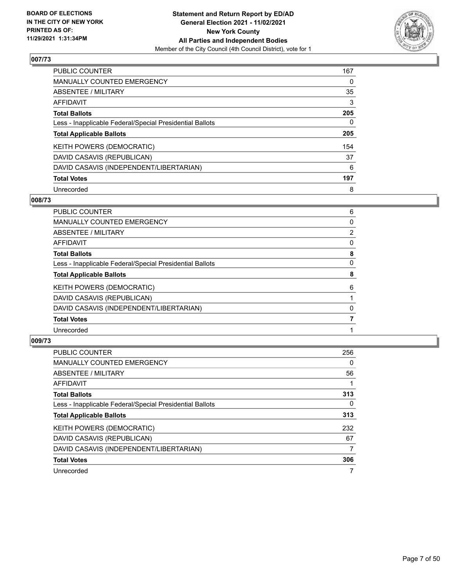

| PUBLIC COUNTER                                           | 167 |
|----------------------------------------------------------|-----|
| <b>MANUALLY COUNTED EMERGENCY</b>                        | 0   |
| ABSENTEE / MILITARY                                      | 35  |
| AFFIDAVIT                                                | 3   |
| <b>Total Ballots</b>                                     | 205 |
| Less - Inapplicable Federal/Special Presidential Ballots | 0   |
| <b>Total Applicable Ballots</b>                          | 205 |
| KEITH POWERS (DEMOCRATIC)                                | 154 |
| DAVID CASAVIS (REPUBLICAN)                               | 37  |
| DAVID CASAVIS (INDEPENDENT/LIBERTARIAN)                  | 6   |
| <b>Total Votes</b>                                       | 197 |
| Unrecorded                                               | 8   |

#### **008/73**

| 6              |
|----------------|
| 0              |
| $\overline{2}$ |
| 0              |
| 8              |
| 0              |
| 8              |
| 6              |
|                |
| 0              |
|                |
|                |
|                |

| <b>PUBLIC COUNTER</b>                                    | 256      |
|----------------------------------------------------------|----------|
| <b>MANUALLY COUNTED EMERGENCY</b>                        | $\Omega$ |
| ABSENTEE / MILITARY                                      | 56       |
| <b>AFFIDAVIT</b>                                         |          |
| <b>Total Ballots</b>                                     | 313      |
| Less - Inapplicable Federal/Special Presidential Ballots | 0        |
| <b>Total Applicable Ballots</b>                          | 313      |
| KEITH POWERS (DEMOCRATIC)                                | 232      |
| DAVID CASAVIS (REPUBLICAN)                               | 67       |
| DAVID CASAVIS (INDEPENDENT/LIBERTARIAN)                  | 7        |
| <b>Total Votes</b>                                       | 306      |
| Unrecorded                                               |          |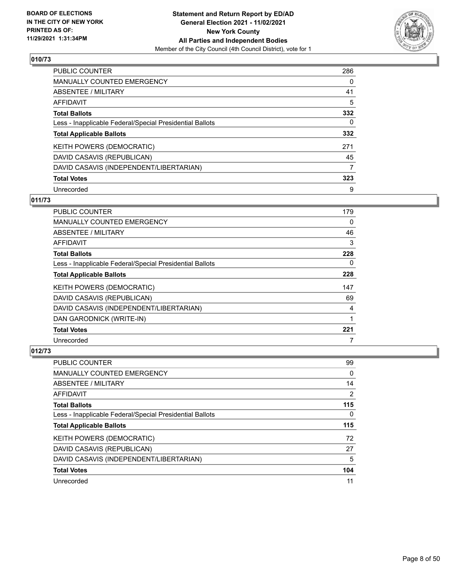

| <b>PUBLIC COUNTER</b>                                    | 286 |
|----------------------------------------------------------|-----|
| MANUALLY COUNTED EMERGENCY                               | 0   |
| ABSENTEE / MILITARY                                      | 41  |
| AFFIDAVIT                                                | 5   |
| <b>Total Ballots</b>                                     | 332 |
| Less - Inapplicable Federal/Special Presidential Ballots | 0   |
| <b>Total Applicable Ballots</b>                          | 332 |
| KEITH POWERS (DEMOCRATIC)                                | 271 |
| DAVID CASAVIS (REPUBLICAN)                               | 45  |
| DAVID CASAVIS (INDEPENDENT/LIBERTARIAN)                  | 7   |
| <b>Total Votes</b>                                       | 323 |
|                                                          |     |

#### **011/73**

| <b>PUBLIC COUNTER</b>                                    | 179      |
|----------------------------------------------------------|----------|
| <b>MANUALLY COUNTED EMERGENCY</b>                        | 0        |
| ABSENTEE / MILITARY                                      | 46       |
| AFFIDAVIT                                                | 3        |
| <b>Total Ballots</b>                                     | 228      |
| Less - Inapplicable Federal/Special Presidential Ballots | $\Omega$ |
| <b>Total Applicable Ballots</b>                          | 228      |
| KEITH POWERS (DEMOCRATIC)                                | 147      |
| DAVID CASAVIS (REPUBLICAN)                               | 69       |
| DAVID CASAVIS (INDEPENDENT/LIBERTARIAN)                  | 4        |
| DAN GARODNICK (WRITE-IN)                                 | 1        |
| <b>Total Votes</b>                                       | 221      |
| Unrecorded                                               | 7        |

| PUBLIC COUNTER                                           | 99  |
|----------------------------------------------------------|-----|
| <b>MANUALLY COUNTED EMERGENCY</b>                        | 0   |
| ABSENTEE / MILITARY                                      | 14  |
| AFFIDAVIT                                                | 2   |
| <b>Total Ballots</b>                                     | 115 |
| Less - Inapplicable Federal/Special Presidential Ballots | 0   |
| <b>Total Applicable Ballots</b>                          | 115 |
|                                                          |     |
| KEITH POWERS (DEMOCRATIC)                                | 72  |
| DAVID CASAVIS (REPUBLICAN)                               | 27  |
| DAVID CASAVIS (INDEPENDENT/LIBERTARIAN)                  | 5   |
| <b>Total Votes</b>                                       | 104 |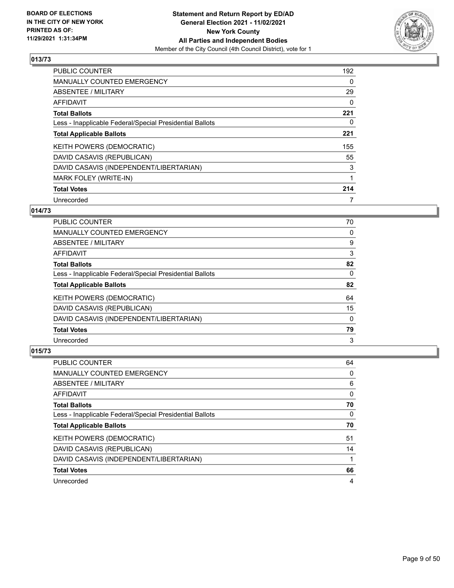

| <b>PUBLIC COUNTER</b>                                    | 192      |
|----------------------------------------------------------|----------|
| <b>MANUALLY COUNTED EMERGENCY</b>                        | 0        |
| ABSENTEE / MILITARY                                      | 29       |
| AFFIDAVIT                                                | $\Omega$ |
| <b>Total Ballots</b>                                     | 221      |
| Less - Inapplicable Federal/Special Presidential Ballots | 0        |
| <b>Total Applicable Ballots</b>                          | 221      |
| <b>KEITH POWERS (DEMOCRATIC)</b>                         | 155      |
| DAVID CASAVIS (REPUBLICAN)                               | 55       |
| DAVID CASAVIS (INDEPENDENT/LIBERTARIAN)                  | 3        |
| <b>MARK FOLEY (WRITE-IN)</b>                             | 1        |
| <b>Total Votes</b>                                       | 214      |
| Unrecorded                                               | 7        |

# **014/73**

| <b>PUBLIC COUNTER</b>                                    | 70       |
|----------------------------------------------------------|----------|
| MANUALLY COUNTED EMERGENCY                               | 0        |
| ABSENTEE / MILITARY                                      | 9        |
| AFFIDAVIT                                                | 3        |
| <b>Total Ballots</b>                                     | 82       |
| Less - Inapplicable Federal/Special Presidential Ballots | 0        |
| <b>Total Applicable Ballots</b>                          | 82       |
| KEITH POWERS (DEMOCRATIC)                                | 64       |
| DAVID CASAVIS (REPUBLICAN)                               | 15       |
| DAVID CASAVIS (INDEPENDENT/LIBERTARIAN)                  | $\Omega$ |
| <b>Total Votes</b>                                       | 79       |
| Unrecorded                                               | 3        |

| <b>PUBLIC COUNTER</b>                                    | 64 |
|----------------------------------------------------------|----|
| <b>MANUALLY COUNTED EMERGENCY</b>                        | 0  |
| ABSENTEE / MILITARY                                      | 6  |
| AFFIDAVIT                                                | 0  |
| <b>Total Ballots</b>                                     | 70 |
| Less - Inapplicable Federal/Special Presidential Ballots | 0  |
|                                                          |    |
| <b>Total Applicable Ballots</b>                          | 70 |
| KEITH POWERS (DEMOCRATIC)                                | 51 |
| DAVID CASAVIS (REPUBLICAN)                               | 14 |
| DAVID CASAVIS (INDEPENDENT/LIBERTARIAN)                  |    |
| <b>Total Votes</b>                                       | 66 |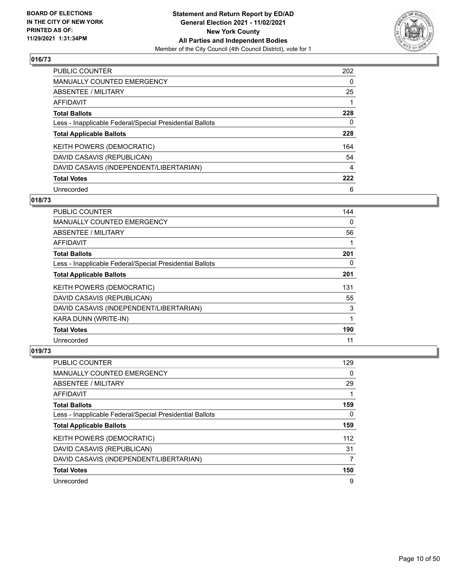

| <b>PUBLIC COUNTER</b>                                    | 202 |
|----------------------------------------------------------|-----|
| <b>MANUALLY COUNTED EMERGENCY</b>                        | 0   |
| ABSENTEE / MILITARY                                      | 25  |
| AFFIDAVIT                                                |     |
| <b>Total Ballots</b>                                     | 228 |
| Less - Inapplicable Federal/Special Presidential Ballots | 0   |
| <b>Total Applicable Ballots</b>                          | 228 |
| KEITH POWERS (DEMOCRATIC)                                | 164 |
| DAVID CASAVIS (REPUBLICAN)                               | 54  |
| DAVID CASAVIS (INDEPENDENT/LIBERTARIAN)                  | 4   |
| <b>Total Votes</b>                                       | 222 |
| Unrecorded                                               | 6   |

#### **018/73**

| <b>PUBLIC COUNTER</b>                                    | 144      |
|----------------------------------------------------------|----------|
| <b>MANUALLY COUNTED EMERGENCY</b>                        | $\Omega$ |
| ABSENTEE / MILITARY                                      | 56       |
| AFFIDAVIT                                                |          |
| <b>Total Ballots</b>                                     | 201      |
| Less - Inapplicable Federal/Special Presidential Ballots | 0        |
| <b>Total Applicable Ballots</b>                          | 201      |
| KEITH POWERS (DEMOCRATIC)                                | 131      |
| DAVID CASAVIS (REPUBLICAN)                               | 55       |
| DAVID CASAVIS (INDEPENDENT/LIBERTARIAN)                  | 3        |
| KARA DUNN (WRITE-IN)                                     | 1        |
| <b>Total Votes</b>                                       | 190      |
| Unrecorded                                               | 11       |

| <b>PUBLIC COUNTER</b>                                    | 129 |
|----------------------------------------------------------|-----|
| <b>MANUALLY COUNTED EMERGENCY</b>                        | 0   |
| ABSENTEE / MILITARY                                      | 29  |
| AFFIDAVIT                                                |     |
| <b>Total Ballots</b>                                     | 159 |
| Less - Inapplicable Federal/Special Presidential Ballots | 0   |
| <b>Total Applicable Ballots</b>                          | 159 |
| KEITH POWERS (DEMOCRATIC)                                | 112 |
| DAVID CASAVIS (REPUBLICAN)                               | 31  |
| DAVID CASAVIS (INDEPENDENT/LIBERTARIAN)                  | 7   |
| <b>Total Votes</b>                                       | 150 |
| Unrecorded                                               | 9   |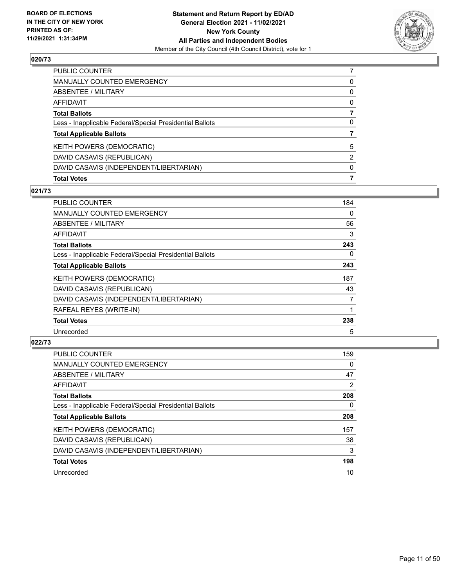

| <b>Total Votes</b>                                       | 7        |
|----------------------------------------------------------|----------|
| DAVID CASAVIS (INDEPENDENT/LIBERTARIAN)                  | $\Omega$ |
| DAVID CASAVIS (REPUBLICAN)                               | 2        |
| KEITH POWERS (DEMOCRATIC)                                | 5        |
| <b>Total Applicable Ballots</b>                          |          |
| Less - Inapplicable Federal/Special Presidential Ballots | 0        |
| <b>Total Ballots</b>                                     |          |
| AFFIDAVIT                                                | 0        |
| ABSENTEE / MILITARY                                      | $\Omega$ |
| <b>MANUALLY COUNTED EMERGENCY</b>                        | 0        |
| PUBLIC COUNTER                                           |          |

## **021/73**

| PUBLIC COUNTER                                           | 184            |
|----------------------------------------------------------|----------------|
| <b>MANUALLY COUNTED EMERGENCY</b>                        | $\Omega$       |
| ABSENTEE / MILITARY                                      | 56             |
| AFFIDAVIT                                                | 3              |
| <b>Total Ballots</b>                                     | 243            |
| Less - Inapplicable Federal/Special Presidential Ballots | $\Omega$       |
| <b>Total Applicable Ballots</b>                          | 243            |
| <b>KEITH POWERS (DEMOCRATIC)</b>                         | 187            |
| DAVID CASAVIS (REPUBLICAN)                               | 43             |
| DAVID CASAVIS (INDEPENDENT/LIBERTARIAN)                  | $\overline{7}$ |
| RAFEAL REYES (WRITE-IN)                                  |                |
| <b>Total Votes</b>                                       | 238            |
| Unrecorded                                               | 5              |

| <b>PUBLIC COUNTER</b>                                    | 159 |
|----------------------------------------------------------|-----|
| <b>MANUALLY COUNTED EMERGENCY</b>                        | 0   |
| ABSENTEE / MILITARY                                      | 47  |
| <b>AFFIDAVIT</b>                                         | 2   |
| <b>Total Ballots</b>                                     | 208 |
| Less - Inapplicable Federal/Special Presidential Ballots | 0   |
| <b>Total Applicable Ballots</b>                          | 208 |
| <b>KEITH POWERS (DEMOCRATIC)</b>                         | 157 |
| DAVID CASAVIS (REPUBLICAN)                               | 38  |
| DAVID CASAVIS (INDEPENDENT/LIBERTARIAN)                  | 3   |
| <b>Total Votes</b>                                       | 198 |
| Unrecorded                                               | 10  |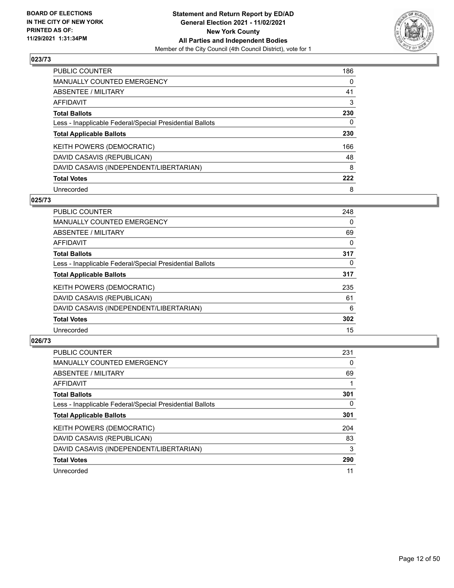

| PUBLIC COUNTER                                           | 186 |
|----------------------------------------------------------|-----|
| <b>MANUALLY COUNTED EMERGENCY</b>                        | 0   |
| <b>ABSENTEE / MILITARY</b>                               | 41  |
| AFFIDAVIT                                                | 3   |
| <b>Total Ballots</b>                                     | 230 |
| Less - Inapplicable Federal/Special Presidential Ballots | 0   |
| <b>Total Applicable Ballots</b>                          | 230 |
| KEITH POWERS (DEMOCRATIC)                                | 166 |
| DAVID CASAVIS (REPUBLICAN)                               | 48  |
| DAVID CASAVIS (INDEPENDENT/LIBERTARIAN)                  | 8   |
| <b>Total Votes</b>                                       | 222 |
| Unrecorded                                               | 8   |

#### **025/73**

| <b>PUBLIC COUNTER</b>                                    | 248      |
|----------------------------------------------------------|----------|
| <b>MANUALLY COUNTED EMERGENCY</b>                        | 0        |
| ABSENTEE / MILITARY                                      | 69       |
| <b>AFFIDAVIT</b>                                         | 0        |
| <b>Total Ballots</b>                                     | 317      |
| Less - Inapplicable Federal/Special Presidential Ballots | $\Omega$ |
| <b>Total Applicable Ballots</b>                          | 317      |
| KEITH POWERS (DEMOCRATIC)                                | 235      |
| DAVID CASAVIS (REPUBLICAN)                               | 61       |
| DAVID CASAVIS (INDEPENDENT/LIBERTARIAN)                  | 6        |
| <b>Total Votes</b>                                       | 302      |
| Unrecorded                                               | 15       |

| <b>PUBLIC COUNTER</b>                                    | 231 |
|----------------------------------------------------------|-----|
| MANUALLY COUNTED EMERGENCY                               | 0   |
| <b>ABSENTEE / MILITARY</b>                               | 69  |
| <b>AFFIDAVIT</b>                                         |     |
| <b>Total Ballots</b>                                     | 301 |
| Less - Inapplicable Federal/Special Presidential Ballots | 0   |
| <b>Total Applicable Ballots</b>                          | 301 |
| KEITH POWERS (DEMOCRATIC)                                | 204 |
| DAVID CASAVIS (REPUBLICAN)                               | 83  |
| DAVID CASAVIS (INDEPENDENT/LIBERTARIAN)                  | 3   |
| <b>Total Votes</b>                                       | 290 |
| Unrecorded                                               | 11  |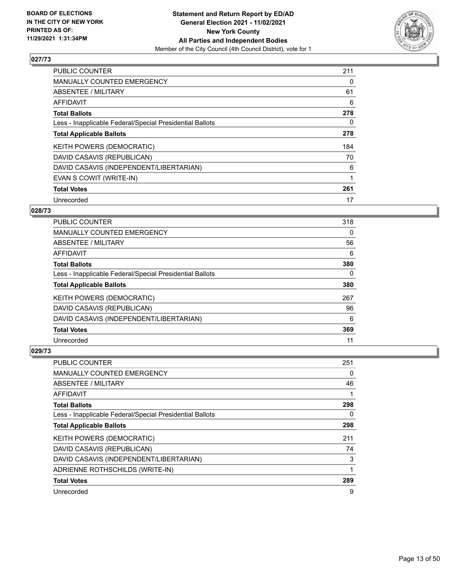

| <b>PUBLIC COUNTER</b>                                    | 211 |
|----------------------------------------------------------|-----|
| MANUALLY COUNTED EMERGENCY                               | 0   |
| ABSENTEE / MILITARY                                      | 61  |
| AFFIDAVIT                                                | 6   |
| <b>Total Ballots</b>                                     | 278 |
| Less - Inapplicable Federal/Special Presidential Ballots | 0   |
| <b>Total Applicable Ballots</b>                          | 278 |
| KEITH POWERS (DEMOCRATIC)                                | 184 |
| DAVID CASAVIS (REPUBLICAN)                               | 70  |
| DAVID CASAVIS (INDEPENDENT/LIBERTARIAN)                  | 6   |
| EVAN S COWIT (WRITE-IN)                                  | 1   |
| <b>Total Votes</b>                                       | 261 |
| Unrecorded                                               | 17  |

# **028/73**

| <b>PUBLIC COUNTER</b>                                    | 318 |
|----------------------------------------------------------|-----|
| <b>MANUALLY COUNTED EMERGENCY</b>                        | 0   |
| ABSENTEE / MILITARY                                      | 56  |
| AFFIDAVIT                                                | 6   |
| <b>Total Ballots</b>                                     | 380 |
| Less - Inapplicable Federal/Special Presidential Ballots | 0   |
| <b>Total Applicable Ballots</b>                          | 380 |
| <b>KEITH POWERS (DEMOCRATIC)</b>                         | 267 |
| DAVID CASAVIS (REPUBLICAN)                               | 96  |
| DAVID CASAVIS (INDEPENDENT/LIBERTARIAN)                  | 6   |
| <b>Total Votes</b>                                       | 369 |
| Unrecorded                                               | 11  |

| <b>PUBLIC COUNTER</b>                                    | 251 |
|----------------------------------------------------------|-----|
| MANUALLY COUNTED EMERGENCY                               | 0   |
| ABSENTEE / MILITARY                                      | 46  |
| AFFIDAVIT                                                |     |
| <b>Total Ballots</b>                                     | 298 |
| Less - Inapplicable Federal/Special Presidential Ballots | 0   |
| <b>Total Applicable Ballots</b>                          | 298 |
| KEITH POWERS (DEMOCRATIC)                                | 211 |
| DAVID CASAVIS (REPUBLICAN)                               | 74  |
| DAVID CASAVIS (INDEPENDENT/LIBERTARIAN)                  | 3   |
| ADRIENNE ROTHSCHILDS (WRITE-IN)                          |     |
| <b>Total Votes</b>                                       | 289 |
| Unrecorded                                               | 9   |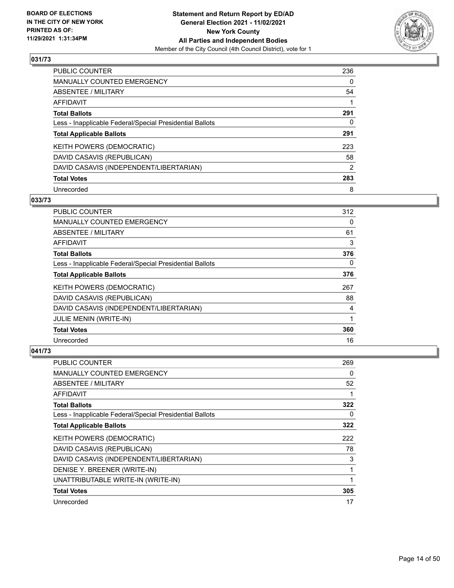

| <b>PUBLIC COUNTER</b>                                    | 236            |
|----------------------------------------------------------|----------------|
| <b>MANUALLY COUNTED EMERGENCY</b>                        | 0              |
| ABSENTEE / MILITARY                                      | 54             |
| AFFIDAVIT                                                |                |
| <b>Total Ballots</b>                                     | 291            |
| Less - Inapplicable Federal/Special Presidential Ballots | 0              |
| <b>Total Applicable Ballots</b>                          | 291            |
| KEITH POWERS (DEMOCRATIC)                                | 223            |
| DAVID CASAVIS (REPUBLICAN)                               | 58             |
| DAVID CASAVIS (INDEPENDENT/LIBERTARIAN)                  | $\overline{2}$ |
| <b>Total Votes</b>                                       | 283            |
| Unrecorded                                               | 8              |

#### **033/73**

| <b>PUBLIC COUNTER</b>                                    | 312      |
|----------------------------------------------------------|----------|
| MANUALLY COUNTED EMERGENCY                               | 0        |
| ABSENTEE / MILITARY                                      | 61       |
| AFFIDAVIT                                                | 3        |
| <b>Total Ballots</b>                                     | 376      |
| Less - Inapplicable Federal/Special Presidential Ballots | $\Omega$ |
| <b>Total Applicable Ballots</b>                          | 376      |
| KEITH POWERS (DEMOCRATIC)                                | 267      |
| DAVID CASAVIS (REPUBLICAN)                               | 88       |
| DAVID CASAVIS (INDEPENDENT/LIBERTARIAN)                  | 4        |
| <b>JULIE MENIN (WRITE-IN)</b>                            |          |
| <b>Total Votes</b>                                       | 360      |
| Unrecorded                                               | 16       |

| <b>PUBLIC COUNTER</b>                                    | 269 |
|----------------------------------------------------------|-----|
| MANUALLY COUNTED EMERGENCY                               | 0   |
| ABSENTEE / MILITARY                                      | 52  |
| AFFIDAVIT                                                |     |
| <b>Total Ballots</b>                                     | 322 |
| Less - Inapplicable Federal/Special Presidential Ballots | 0   |
| <b>Total Applicable Ballots</b>                          | 322 |
| KEITH POWERS (DEMOCRATIC)                                | 222 |
| DAVID CASAVIS (REPUBLICAN)                               | 78  |
| DAVID CASAVIS (INDEPENDENT/LIBERTARIAN)                  | 3   |
| DENISE Y. BREENER (WRITE-IN)                             |     |
| UNATTRIBUTABLE WRITE-IN (WRITE-IN)                       |     |
| <b>Total Votes</b>                                       | 305 |
| Unrecorded                                               | 17  |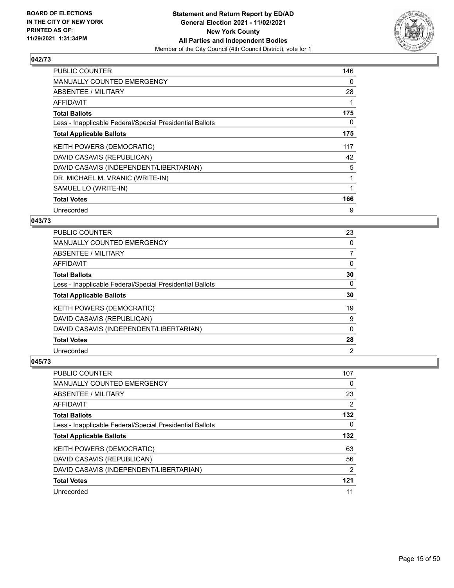

| PUBLIC COUNTER                                           | 146 |
|----------------------------------------------------------|-----|
| <b>MANUALLY COUNTED EMERGENCY</b>                        | 0   |
| ABSENTEE / MILITARY                                      | 28  |
| AFFIDAVIT                                                | 1   |
| <b>Total Ballots</b>                                     | 175 |
| Less - Inapplicable Federal/Special Presidential Ballots | 0   |
| <b>Total Applicable Ballots</b>                          | 175 |
| KEITH POWERS (DEMOCRATIC)                                | 117 |
| DAVID CASAVIS (REPUBLICAN)                               | 42  |
| DAVID CASAVIS (INDEPENDENT/LIBERTARIAN)                  | 5   |
| DR. MICHAEL M. VRANIC (WRITE-IN)                         |     |
| SAMUEL LO (WRITE-IN)                                     | 1   |
| <b>Total Votes</b>                                       | 166 |
| Unrecorded                                               | 9   |

#### **043/73**

| PUBLIC COUNTER                                           | 23             |
|----------------------------------------------------------|----------------|
| MANUALLY COUNTED EMERGENCY                               | $\Omega$       |
| ABSENTEE / MILITARY                                      | 7              |
| AFFIDAVIT                                                | $\Omega$       |
| <b>Total Ballots</b>                                     | 30             |
| Less - Inapplicable Federal/Special Presidential Ballots | $\Omega$       |
| <b>Total Applicable Ballots</b>                          | 30             |
| <b>KEITH POWERS (DEMOCRATIC)</b>                         | 19             |
| DAVID CASAVIS (REPUBLICAN)                               | 9              |
| DAVID CASAVIS (INDEPENDENT/LIBERTARIAN)                  | $\Omega$       |
| <b>Total Votes</b>                                       | 28             |
| Unrecorded                                               | $\overline{2}$ |

| PUBLIC COUNTER                                           | 107            |
|----------------------------------------------------------|----------------|
| <b>MANUALLY COUNTED EMERGENCY</b>                        | 0              |
| ABSENTEE / MILITARY                                      | 23             |
| AFFIDAVIT                                                | 2              |
| <b>Total Ballots</b>                                     | 132            |
| Less - Inapplicable Federal/Special Presidential Ballots | 0              |
| <b>Total Applicable Ballots</b>                          | 132            |
| <b>KEITH POWERS (DEMOCRATIC)</b>                         | 63             |
|                                                          |                |
| DAVID CASAVIS (REPUBLICAN)                               | 56             |
| DAVID CASAVIS (INDEPENDENT/LIBERTARIAN)                  | $\overline{2}$ |
| <b>Total Votes</b>                                       | 121            |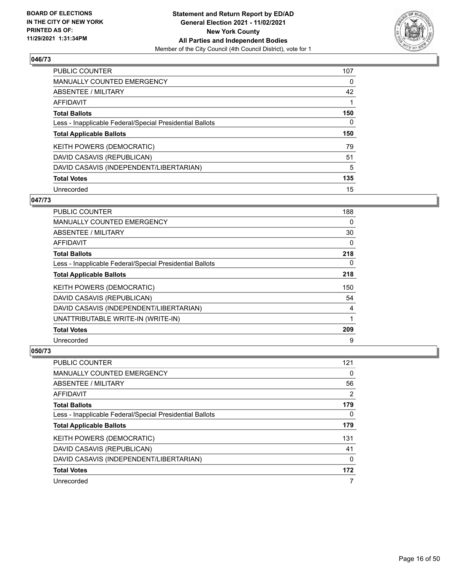

| <b>PUBLIC COUNTER</b>                                    | 107 |
|----------------------------------------------------------|-----|
| <b>MANUALLY COUNTED EMERGENCY</b>                        | 0   |
| ABSENTEE / MILITARY                                      | 42  |
| AFFIDAVIT                                                |     |
| <b>Total Ballots</b>                                     | 150 |
| Less - Inapplicable Federal/Special Presidential Ballots | 0   |
|                                                          |     |
| <b>Total Applicable Ballots</b>                          | 150 |
| KEITH POWERS (DEMOCRATIC)                                | 79  |
| DAVID CASAVIS (REPUBLICAN)                               | 51  |
| DAVID CASAVIS (INDEPENDENT/LIBERTARIAN)                  | 5   |
| <b>Total Votes</b>                                       | 135 |

#### **047/73**

| <b>PUBLIC COUNTER</b>                                    | 188 |
|----------------------------------------------------------|-----|
| MANUALLY COUNTED EMERGENCY                               | 0   |
| ABSENTEE / MILITARY                                      | 30  |
| AFFIDAVIT                                                | 0   |
| <b>Total Ballots</b>                                     | 218 |
| Less - Inapplicable Federal/Special Presidential Ballots | 0   |
| <b>Total Applicable Ballots</b>                          | 218 |
| KEITH POWERS (DEMOCRATIC)                                | 150 |
| DAVID CASAVIS (REPUBLICAN)                               | 54  |
| DAVID CASAVIS (INDEPENDENT/LIBERTARIAN)                  | 4   |
| UNATTRIBUTABLE WRITE-IN (WRITE-IN)                       | 1   |
| <b>Total Votes</b>                                       | 209 |
| Unrecorded                                               | 9   |

| <b>PUBLIC COUNTER</b>                                    | 121 |
|----------------------------------------------------------|-----|
| <b>MANUALLY COUNTED EMERGENCY</b>                        | 0   |
| ABSENTEE / MILITARY                                      | 56  |
| AFFIDAVIT                                                | 2   |
| <b>Total Ballots</b>                                     | 179 |
| Less - Inapplicable Federal/Special Presidential Ballots | 0   |
| <b>Total Applicable Ballots</b>                          | 179 |
| KEITH POWERS (DEMOCRATIC)                                | 131 |
| DAVID CASAVIS (REPUBLICAN)                               | 41  |
| DAVID CASAVIS (INDEPENDENT/LIBERTARIAN)                  | 0   |
| <b>Total Votes</b>                                       | 172 |
| Unrecorded                                               | 7   |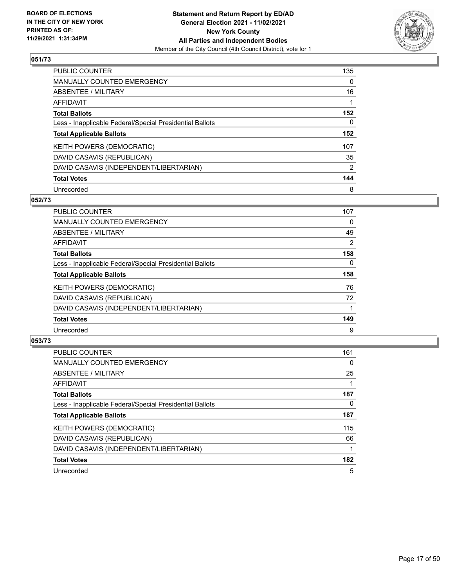

| <b>PUBLIC COUNTER</b>                                    | 135      |
|----------------------------------------------------------|----------|
| MANUALLY COUNTED EMERGENCY                               | $\Omega$ |
| ABSENTEE / MILITARY                                      | 16       |
| AFFIDAVIT                                                |          |
| <b>Total Ballots</b>                                     | 152      |
| Less - Inapplicable Federal/Special Presidential Ballots | 0        |
| <b>Total Applicable Ballots</b>                          | 152      |
| KEITH POWERS (DEMOCRATIC)                                | 107      |
| DAVID CASAVIS (REPUBLICAN)                               | 35       |
| DAVID CASAVIS (INDEPENDENT/LIBERTARIAN)                  | 2        |
| <b>Total Votes</b>                                       | 144      |
| Unrecorded                                               | 8        |

#### **052/73**

| <b>PUBLIC COUNTER</b>                                    | 107      |
|----------------------------------------------------------|----------|
| <b>MANUALLY COUNTED EMERGENCY</b>                        | 0        |
| ABSENTEE / MILITARY                                      | 49       |
| <b>AFFIDAVIT</b>                                         | 2        |
| <b>Total Ballots</b>                                     | 158      |
| Less - Inapplicable Federal/Special Presidential Ballots | $\Omega$ |
| <b>Total Applicable Ballots</b>                          | 158      |
| KEITH POWERS (DEMOCRATIC)                                | 76       |
| DAVID CASAVIS (REPUBLICAN)                               | 72       |
| DAVID CASAVIS (INDEPENDENT/LIBERTARIAN)                  |          |
| <b>Total Votes</b>                                       | 149      |
| Unrecorded                                               | 9        |

| <b>PUBLIC COUNTER</b>                                    | 161 |
|----------------------------------------------------------|-----|
| <b>MANUALLY COUNTED EMERGENCY</b>                        | 0   |
| ABSENTEE / MILITARY                                      | 25  |
| <b>AFFIDAVIT</b>                                         |     |
| <b>Total Ballots</b>                                     | 187 |
| Less - Inapplicable Federal/Special Presidential Ballots | 0   |
| <b>Total Applicable Ballots</b>                          | 187 |
| KEITH POWERS (DEMOCRATIC)                                | 115 |
| DAVID CASAVIS (REPUBLICAN)                               | 66  |
| DAVID CASAVIS (INDEPENDENT/LIBERTARIAN)                  |     |
| <b>Total Votes</b>                                       | 182 |
| Unrecorded                                               | 5   |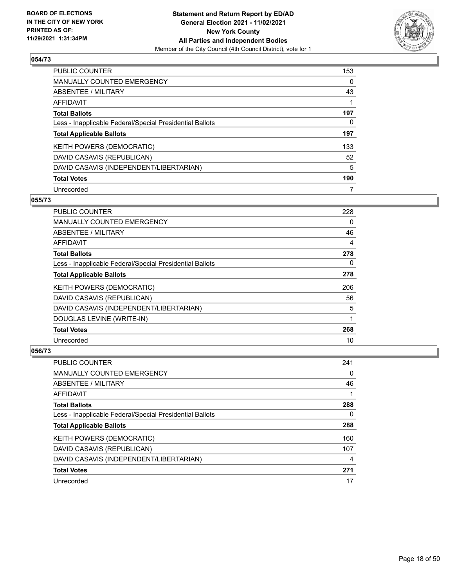

| <b>PUBLIC COUNTER</b>                                    | 153      |
|----------------------------------------------------------|----------|
| MANUALLY COUNTED EMERGENCY                               | $\Omega$ |
| ABSENTEE / MILITARY                                      | 43       |
| AFFIDAVIT                                                |          |
| <b>Total Ballots</b>                                     | 197      |
| Less - Inapplicable Federal/Special Presidential Ballots | 0        |
| <b>Total Applicable Ballots</b>                          | 197      |
| KEITH POWERS (DEMOCRATIC)                                | 133      |
| DAVID CASAVIS (REPUBLICAN)                               | 52       |
| DAVID CASAVIS (INDEPENDENT/LIBERTARIAN)                  | 5        |
| <b>Total Votes</b>                                       | 190      |
| Unrecorded                                               |          |

#### **055/73**

| <b>PUBLIC COUNTER</b>                                    | 228      |
|----------------------------------------------------------|----------|
| MANUALLY COUNTED EMERGENCY                               | $\Omega$ |
| ABSENTEE / MILITARY                                      | 46       |
| AFFIDAVIT                                                | 4        |
| <b>Total Ballots</b>                                     | 278      |
| Less - Inapplicable Federal/Special Presidential Ballots | 0        |
| <b>Total Applicable Ballots</b>                          | 278      |
| KEITH POWERS (DEMOCRATIC)                                | 206      |
| DAVID CASAVIS (REPUBLICAN)                               | 56       |
| DAVID CASAVIS (INDEPENDENT/LIBERTARIAN)                  | 5        |
| DOUGLAS LEVINE (WRITE-IN)                                | 1        |
| <b>Total Votes</b>                                       | 268      |
| Unrecorded                                               | 10       |

| <b>PUBLIC COUNTER</b>                                    | 241 |
|----------------------------------------------------------|-----|
| <b>MANUALLY COUNTED EMERGENCY</b>                        | 0   |
| ABSENTEE / MILITARY                                      | 46  |
| AFFIDAVIT                                                |     |
| <b>Total Ballots</b>                                     | 288 |
| Less - Inapplicable Federal/Special Presidential Ballots | 0   |
| <b>Total Applicable Ballots</b>                          | 288 |
| KEITH POWERS (DEMOCRATIC)                                | 160 |
| DAVID CASAVIS (REPUBLICAN)                               | 107 |
| DAVID CASAVIS (INDEPENDENT/LIBERTARIAN)                  | 4   |
| <b>Total Votes</b>                                       | 271 |
| Unrecorded                                               | 17  |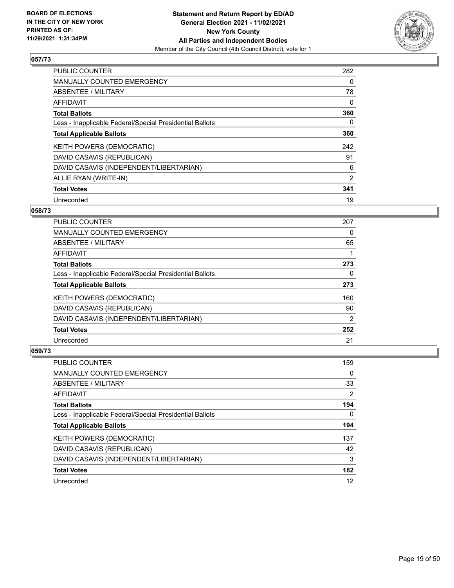

| <b>PUBLIC COUNTER</b>                                    | 282            |
|----------------------------------------------------------|----------------|
| <b>MANUALLY COUNTED EMERGENCY</b>                        | 0              |
| ABSENTEE / MILITARY                                      | 78             |
| AFFIDAVIT                                                | 0              |
| <b>Total Ballots</b>                                     | 360            |
| Less - Inapplicable Federal/Special Presidential Ballots | 0              |
| <b>Total Applicable Ballots</b>                          | 360            |
| KEITH POWERS (DEMOCRATIC)                                | 242            |
| DAVID CASAVIS (REPUBLICAN)                               | 91             |
| DAVID CASAVIS (INDEPENDENT/LIBERTARIAN)                  | 6              |
| ALLIE RYAN (WRITE-IN)                                    | $\overline{2}$ |
| <b>Total Votes</b>                                       | 341            |
| Unrecorded                                               | 19             |

#### **058/73**

| <b>PUBLIC COUNTER</b>                                    | 207            |
|----------------------------------------------------------|----------------|
| <b>MANUALLY COUNTED EMERGENCY</b>                        | 0              |
| ABSENTEE / MILITARY                                      | 65             |
| <b>AFFIDAVIT</b>                                         |                |
| <b>Total Ballots</b>                                     | 273            |
| Less - Inapplicable Federal/Special Presidential Ballots | 0              |
| <b>Total Applicable Ballots</b>                          | 273            |
| <b>KEITH POWERS (DEMOCRATIC)</b>                         | 160            |
| DAVID CASAVIS (REPUBLICAN)                               | 90             |
| DAVID CASAVIS (INDEPENDENT/LIBERTARIAN)                  | $\overline{2}$ |
| <b>Total Votes</b>                                       | 252            |
| Unrecorded                                               | 21             |

| <b>PUBLIC COUNTER</b>                                    | 159 |
|----------------------------------------------------------|-----|
| <b>MANUALLY COUNTED EMERGENCY</b>                        | 0   |
| ABSENTEE / MILITARY                                      | 33  |
| AFFIDAVIT                                                | 2   |
| <b>Total Ballots</b>                                     | 194 |
| Less - Inapplicable Federal/Special Presidential Ballots | 0   |
| <b>Total Applicable Ballots</b>                          | 194 |
| KEITH POWERS (DEMOCRATIC)                                | 137 |
| DAVID CASAVIS (REPUBLICAN)                               | 42  |
| DAVID CASAVIS (INDEPENDENT/LIBERTARIAN)                  | 3   |
| <b>Total Votes</b>                                       | 182 |
| Unrecorded                                               | 12  |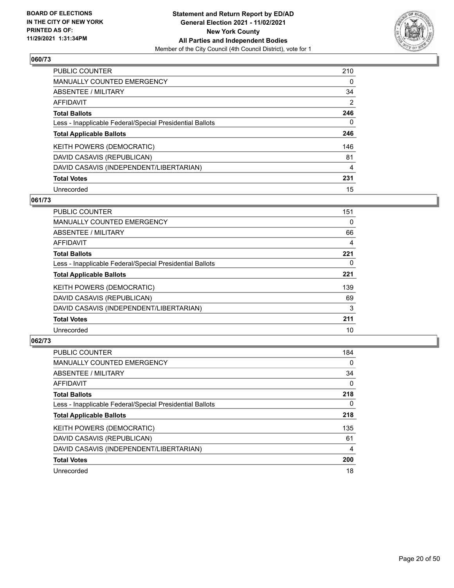

| <b>PUBLIC COUNTER</b>                                    | 210            |
|----------------------------------------------------------|----------------|
| MANUALLY COUNTED EMERGENCY                               | 0              |
| ABSENTEE / MILITARY                                      | 34             |
| AFFIDAVIT                                                | 2              |
| <b>Total Ballots</b>                                     | 246            |
| Less - Inapplicable Federal/Special Presidential Ballots | 0              |
| <b>Total Applicable Ballots</b>                          | 246            |
| KEITH POWERS (DEMOCRATIC)                                | 146            |
| DAVID CASAVIS (REPUBLICAN)                               | 81             |
| DAVID CASAVIS (INDEPENDENT/LIBERTARIAN)                  | $\overline{4}$ |
| <b>Total Votes</b>                                       | 231            |
| Unrecorded                                               | 15             |

#### **061/73**

| <b>PUBLIC COUNTER</b>                                    | 151 |
|----------------------------------------------------------|-----|
| <b>MANUALLY COUNTED EMERGENCY</b>                        | 0   |
| ABSENTEE / MILITARY                                      | 66  |
| <b>AFFIDAVIT</b>                                         | 4   |
| <b>Total Ballots</b>                                     | 221 |
| Less - Inapplicable Federal/Special Presidential Ballots | 0   |
| <b>Total Applicable Ballots</b>                          | 221 |
| KEITH POWERS (DEMOCRATIC)                                | 139 |
| DAVID CASAVIS (REPUBLICAN)                               | 69  |
| DAVID CASAVIS (INDEPENDENT/LIBERTARIAN)                  | 3   |
| <b>Total Votes</b>                                       | 211 |
| Unrecorded                                               | 10  |

| PUBLIC COUNTER                                           | 184      |
|----------------------------------------------------------|----------|
| <b>MANUALLY COUNTED EMERGENCY</b>                        | $\Omega$ |
| ABSENTEE / MILITARY                                      | 34       |
| <b>AFFIDAVIT</b>                                         | $\Omega$ |
| <b>Total Ballots</b>                                     | 218      |
| Less - Inapplicable Federal/Special Presidential Ballots | $\Omega$ |
| <b>Total Applicable Ballots</b>                          | 218      |
| KEITH POWERS (DEMOCRATIC)                                | 135      |
| DAVID CASAVIS (REPUBLICAN)                               | 61       |
| DAVID CASAVIS (INDEPENDENT/LIBERTARIAN)                  | 4        |
| <b>Total Votes</b>                                       | 200      |
| Unrecorded                                               | 18       |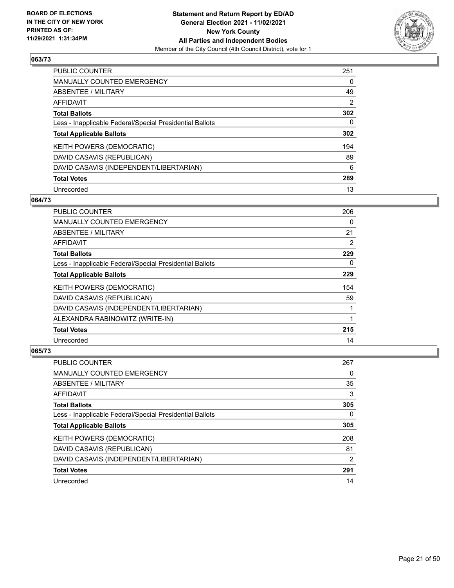

| <b>PUBLIC COUNTER</b>                                    | 251      |
|----------------------------------------------------------|----------|
| <b>MANUALLY COUNTED EMERGENCY</b>                        | 0        |
| ABSENTEE / MILITARY                                      | 49       |
| AFFIDAVIT                                                | 2        |
| <b>Total Ballots</b>                                     | 302      |
| Less - Inapplicable Federal/Special Presidential Ballots | $\Omega$ |
| <b>Total Applicable Ballots</b>                          | 302      |
| KEITH POWERS (DEMOCRATIC)                                | 194      |
| DAVID CASAVIS (REPUBLICAN)                               | 89       |
| DAVID CASAVIS (INDEPENDENT/LIBERTARIAN)                  | 6        |
| <b>Total Votes</b>                                       | 289      |
| Unrecorded                                               | 13       |

# **064/73**

| <b>PUBLIC COUNTER</b>                                    | 206 |
|----------------------------------------------------------|-----|
| MANUALLY COUNTED EMERGENCY                               | 0   |
| ABSENTEE / MILITARY                                      | 21  |
| AFFIDAVIT                                                | 2   |
| <b>Total Ballots</b>                                     | 229 |
| Less - Inapplicable Federal/Special Presidential Ballots | 0   |
| <b>Total Applicable Ballots</b>                          | 229 |
| <b>KEITH POWERS (DEMOCRATIC)</b>                         | 154 |
| DAVID CASAVIS (REPUBLICAN)                               | 59  |
| DAVID CASAVIS (INDEPENDENT/LIBERTARIAN)                  |     |
| ALEXANDRA RABINOWITZ (WRITE-IN)                          |     |
| <b>Total Votes</b>                                       | 215 |
| Unrecorded                                               | 14  |

| <b>PUBLIC COUNTER</b>                                    | 267 |
|----------------------------------------------------------|-----|
| <b>MANUALLY COUNTED EMERGENCY</b>                        | 0   |
| ABSENTEE / MILITARY                                      | 35  |
| AFFIDAVIT                                                | 3   |
| <b>Total Ballots</b>                                     | 305 |
| Less - Inapplicable Federal/Special Presidential Ballots | 0   |
| <b>Total Applicable Ballots</b>                          | 305 |
| KEITH POWERS (DEMOCRATIC)                                | 208 |
| DAVID CASAVIS (REPUBLICAN)                               | 81  |
| DAVID CASAVIS (INDEPENDENT/LIBERTARIAN)                  | 2   |
| <b>Total Votes</b>                                       | 291 |
| Unrecorded                                               | 14  |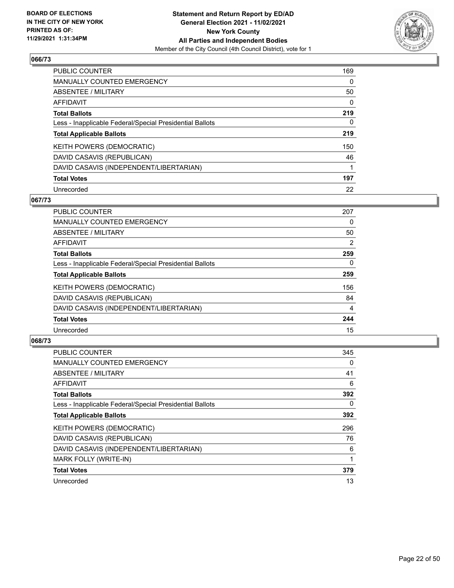

| <b>PUBLIC COUNTER</b>                                    | 169 |
|----------------------------------------------------------|-----|
| <b>MANUALLY COUNTED EMERGENCY</b>                        | 0   |
| ABSENTEE / MILITARY                                      | 50  |
| AFFIDAVIT                                                | 0   |
| <b>Total Ballots</b>                                     | 219 |
| Less - Inapplicable Federal/Special Presidential Ballots | 0   |
| <b>Total Applicable Ballots</b>                          | 219 |
| KEITH POWERS (DEMOCRATIC)                                | 150 |
| DAVID CASAVIS (REPUBLICAN)                               | 46  |
| DAVID CASAVIS (INDEPENDENT/LIBERTARIAN)                  |     |
| <b>Total Votes</b>                                       | 197 |
| Unrecorded                                               | 22  |

#### **067/73**

| <b>PUBLIC COUNTER</b>                                    | 207      |
|----------------------------------------------------------|----------|
| <b>MANUALLY COUNTED EMERGENCY</b>                        | 0        |
| ABSENTEE / MILITARY                                      | 50       |
| <b>AFFIDAVIT</b>                                         | 2        |
| <b>Total Ballots</b>                                     | 259      |
| Less - Inapplicable Federal/Special Presidential Ballots | $\Omega$ |
| <b>Total Applicable Ballots</b>                          | 259      |
| KEITH POWERS (DEMOCRATIC)                                | 156      |
| DAVID CASAVIS (REPUBLICAN)                               | 84       |
| DAVID CASAVIS (INDEPENDENT/LIBERTARIAN)                  | 4        |
| <b>Total Votes</b>                                       | 244      |
| Unrecorded                                               | 15       |

| <b>PUBLIC COUNTER</b>                                    | 345 |
|----------------------------------------------------------|-----|
| <b>MANUALLY COUNTED EMERGENCY</b>                        | 0   |
| ABSENTEE / MILITARY                                      | 41  |
| AFFIDAVIT                                                | 6   |
| <b>Total Ballots</b>                                     | 392 |
| Less - Inapplicable Federal/Special Presidential Ballots | 0   |
| <b>Total Applicable Ballots</b>                          | 392 |
| KEITH POWERS (DEMOCRATIC)                                | 296 |
| DAVID CASAVIS (REPUBLICAN)                               | 76  |
| DAVID CASAVIS (INDEPENDENT/LIBERTARIAN)                  | 6   |
| MARK FOLLY (WRITE-IN)                                    |     |
| <b>Total Votes</b>                                       | 379 |
| Unrecorded                                               | 13  |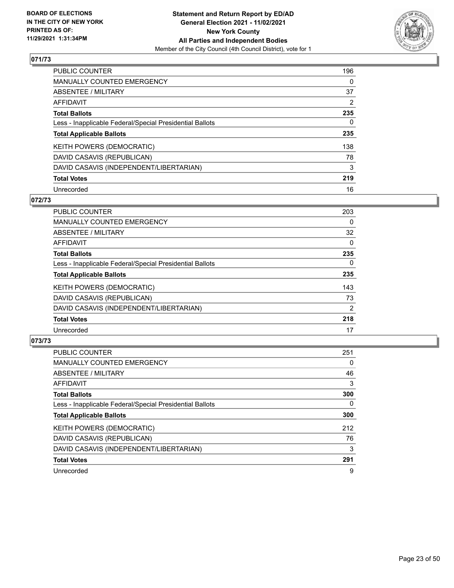

| PUBLIC COUNTER                                           | 196            |
|----------------------------------------------------------|----------------|
| <b>MANUALLY COUNTED EMERGENCY</b>                        | $\Omega$       |
| ABSENTEE / MILITARY                                      | 37             |
| AFFIDAVIT                                                | $\overline{2}$ |
| <b>Total Ballots</b>                                     | 235            |
| Less - Inapplicable Federal/Special Presidential Ballots | 0              |
| <b>Total Applicable Ballots</b>                          | 235            |
| KEITH POWERS (DEMOCRATIC)                                | 138            |
| DAVID CASAVIS (REPUBLICAN)                               | 78             |
| DAVID CASAVIS (INDEPENDENT/LIBERTARIAN)                  | 3              |
| <b>Total Votes</b>                                       | 219            |
| Unrecorded                                               | 16             |

#### **072/73**

| <b>PUBLIC COUNTER</b>                                    | 203            |
|----------------------------------------------------------|----------------|
| MANUALLY COUNTED EMERGENCY                               | $\Omega$       |
| ABSENTEE / MILITARY                                      | 32             |
| <b>AFFIDAVIT</b>                                         | $\Omega$       |
| <b>Total Ballots</b>                                     | 235            |
| Less - Inapplicable Federal/Special Presidential Ballots | $\Omega$       |
| <b>Total Applicable Ballots</b>                          | 235            |
| KEITH POWERS (DEMOCRATIC)                                | 143            |
| DAVID CASAVIS (REPUBLICAN)                               | 73             |
| DAVID CASAVIS (INDEPENDENT/LIBERTARIAN)                  | $\overline{2}$ |
| <b>Total Votes</b>                                       | 218            |
| Unrecorded                                               | 17             |

| <b>PUBLIC COUNTER</b>                                    | 251 |
|----------------------------------------------------------|-----|
| <b>MANUALLY COUNTED EMERGENCY</b>                        | 0   |
| ABSENTEE / MILITARY                                      | 46  |
| AFFIDAVIT                                                | 3   |
| <b>Total Ballots</b>                                     | 300 |
| Less - Inapplicable Federal/Special Presidential Ballots | 0   |
| <b>Total Applicable Ballots</b>                          | 300 |
| <b>KEITH POWERS (DEMOCRATIC)</b>                         | 212 |
| DAVID CASAVIS (REPUBLICAN)                               | 76  |
| DAVID CASAVIS (INDEPENDENT/LIBERTARIAN)                  | 3   |
| <b>Total Votes</b>                                       | 291 |
| Unrecorded                                               | 9   |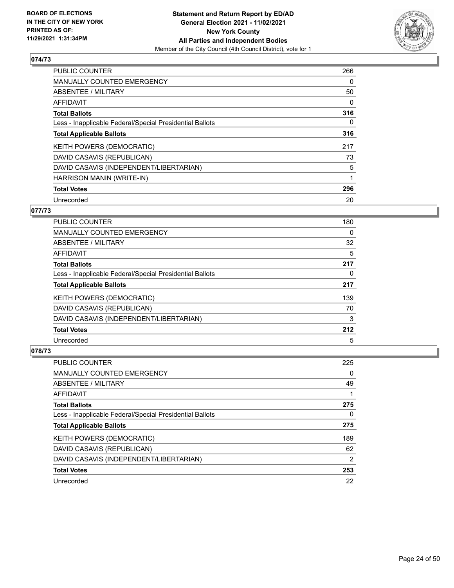

| <b>PUBLIC COUNTER</b>                                    | 266      |
|----------------------------------------------------------|----------|
| <b>MANUALLY COUNTED EMERGENCY</b>                        | 0        |
| ABSENTEE / MILITARY                                      | 50       |
| <b>AFFIDAVIT</b>                                         | 0        |
| <b>Total Ballots</b>                                     | 316      |
| Less - Inapplicable Federal/Special Presidential Ballots | $\Omega$ |
| <b>Total Applicable Ballots</b>                          | 316      |
| KEITH POWERS (DEMOCRATIC)                                | 217      |
| DAVID CASAVIS (REPUBLICAN)                               | 73       |
| DAVID CASAVIS (INDEPENDENT/LIBERTARIAN)                  | 5        |
| HARRISON MANIN (WRITE-IN)                                | 1        |
| <b>Total Votes</b>                                       | 296      |
| Unrecorded                                               | 20       |

# **077/73**

| <b>PUBLIC COUNTER</b>                                    | 180 |
|----------------------------------------------------------|-----|
| <b>MANUALLY COUNTED EMERGENCY</b>                        | 0   |
| ABSENTEE / MILITARY                                      | 32  |
| AFFIDAVIT                                                | 5   |
| <b>Total Ballots</b>                                     | 217 |
| Less - Inapplicable Federal/Special Presidential Ballots | 0   |
| <b>Total Applicable Ballots</b>                          | 217 |
| <b>KEITH POWERS (DEMOCRATIC)</b>                         | 139 |
| DAVID CASAVIS (REPUBLICAN)                               | 70  |
| DAVID CASAVIS (INDEPENDENT/LIBERTARIAN)                  | 3   |
| <b>Total Votes</b>                                       | 212 |
| Unrecorded                                               | 5   |

| PUBLIC COUNTER                                           | 225           |
|----------------------------------------------------------|---------------|
| <b>MANUALLY COUNTED EMERGENCY</b>                        | 0             |
| ABSENTEE / MILITARY                                      | 49            |
| AFFIDAVIT                                                |               |
| <b>Total Ballots</b>                                     | 275           |
| Less - Inapplicable Federal/Special Presidential Ballots | 0             |
| <b>Total Applicable Ballots</b>                          | 275           |
| KEITH POWERS (DEMOCRATIC)                                | 189           |
| DAVID CASAVIS (REPUBLICAN)                               | 62            |
| DAVID CASAVIS (INDEPENDENT/LIBERTARIAN)                  | $\mathcal{P}$ |
| <b>Total Votes</b>                                       | 253           |
| Unrecorded                                               | 22            |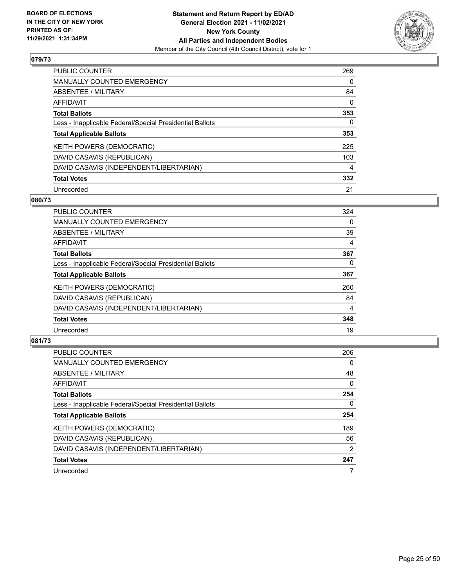

| <b>PUBLIC COUNTER</b>                                    | 269 |
|----------------------------------------------------------|-----|
| <b>MANUALLY COUNTED EMERGENCY</b>                        | 0   |
| ABSENTEE / MILITARY                                      | 84  |
| AFFIDAVIT                                                | 0   |
| <b>Total Ballots</b>                                     | 353 |
| Less - Inapplicable Federal/Special Presidential Ballots | 0   |
| <b>Total Applicable Ballots</b>                          | 353 |
| KEITH POWERS (DEMOCRATIC)                                | 225 |
| DAVID CASAVIS (REPUBLICAN)                               | 103 |
| DAVID CASAVIS (INDEPENDENT/LIBERTARIAN)                  | 4   |
| <b>Total Votes</b>                                       | 332 |
| Unrecorded                                               | 21  |

#### **080/73**

| <b>PUBLIC COUNTER</b>                                    | 324      |
|----------------------------------------------------------|----------|
| <b>MANUALLY COUNTED EMERGENCY</b>                        | 0        |
| ABSENTEE / MILITARY                                      | 39       |
| <b>AFFIDAVIT</b>                                         | 4        |
| <b>Total Ballots</b>                                     | 367      |
| Less - Inapplicable Federal/Special Presidential Ballots | $\Omega$ |
| <b>Total Applicable Ballots</b>                          | 367      |
| KEITH POWERS (DEMOCRATIC)                                | 260      |
| DAVID CASAVIS (REPUBLICAN)                               | 84       |
| DAVID CASAVIS (INDEPENDENT/LIBERTARIAN)                  | 4        |
| <b>Total Votes</b>                                       | 348      |
| Unrecorded                                               | 19       |

| <b>PUBLIC COUNTER</b>                                    | 206           |
|----------------------------------------------------------|---------------|
| <b>MANUALLY COUNTED EMERGENCY</b>                        | 0             |
| ABSENTEE / MILITARY                                      | 48            |
| <b>AFFIDAVIT</b>                                         | $\Omega$      |
| <b>Total Ballots</b>                                     | 254           |
| Less - Inapplicable Federal/Special Presidential Ballots | $\Omega$      |
| <b>Total Applicable Ballots</b>                          | 254           |
| KEITH POWERS (DEMOCRATIC)                                | 189           |
| DAVID CASAVIS (REPUBLICAN)                               | 56            |
| DAVID CASAVIS (INDEPENDENT/LIBERTARIAN)                  | $\mathcal{P}$ |
| <b>Total Votes</b>                                       | 247           |
| Unrecorded                                               |               |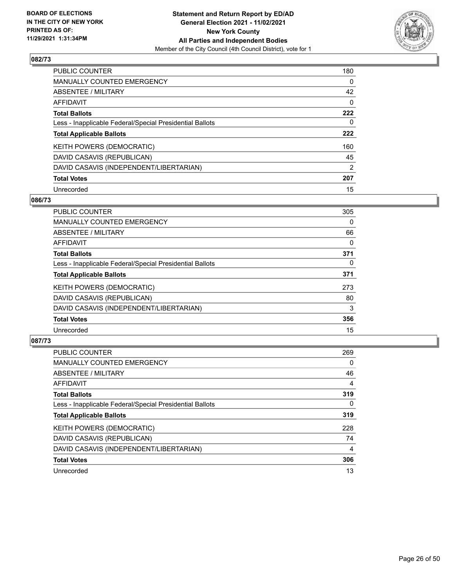

| PUBLIC COUNTER                                           | 180      |
|----------------------------------------------------------|----------|
| MANUALLY COUNTED EMERGENCY                               | $\Omega$ |
| ABSENTEE / MILITARY                                      | 42       |
| AFFIDAVIT                                                | $\Omega$ |
| <b>Total Ballots</b>                                     | 222      |
| Less - Inapplicable Federal/Special Presidential Ballots | 0        |
| <b>Total Applicable Ballots</b>                          | 222      |
| KEITH POWERS (DEMOCRATIC)                                | 160      |
| DAVID CASAVIS (REPUBLICAN)                               | 45       |
| DAVID CASAVIS (INDEPENDENT/LIBERTARIAN)                  | 2        |
| <b>Total Votes</b>                                       | 207      |
| Unrecorded                                               | 15       |

#### **086/73**

| <b>PUBLIC COUNTER</b>                                    | 305      |
|----------------------------------------------------------|----------|
| <b>MANUALLY COUNTED EMERGENCY</b>                        | $\Omega$ |
| ABSENTEE / MILITARY                                      | 66       |
| <b>AFFIDAVIT</b>                                         | $\Omega$ |
| <b>Total Ballots</b>                                     | 371      |
| Less - Inapplicable Federal/Special Presidential Ballots | $\Omega$ |
| <b>Total Applicable Ballots</b>                          | 371      |
| KEITH POWERS (DEMOCRATIC)                                | 273      |
| DAVID CASAVIS (REPUBLICAN)                               | 80       |
| DAVID CASAVIS (INDEPENDENT/LIBERTARIAN)                  | 3        |
| <b>Total Votes</b>                                       | 356      |
| Unrecorded                                               | 15       |

| <b>PUBLIC COUNTER</b>                                    | 269      |
|----------------------------------------------------------|----------|
| <b>MANUALLY COUNTED EMERGENCY</b>                        | $\Omega$ |
| ABSENTEE / MILITARY                                      | 46       |
| <b>AFFIDAVIT</b>                                         | 4        |
| <b>Total Ballots</b>                                     | 319      |
| Less - Inapplicable Federal/Special Presidential Ballots | $\Omega$ |
| <b>Total Applicable Ballots</b>                          | 319      |
| KEITH POWERS (DEMOCRATIC)                                | 228      |
| DAVID CASAVIS (REPUBLICAN)                               | 74       |
| DAVID CASAVIS (INDEPENDENT/LIBERTARIAN)                  | 4        |
| <b>Total Votes</b>                                       | 306      |
| Unrecorded                                               | 13       |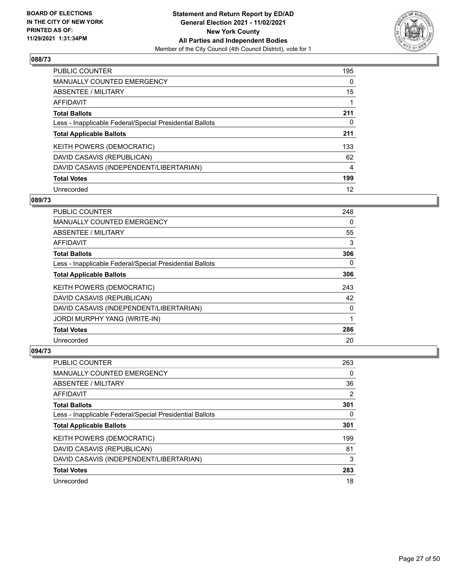

| <b>PUBLIC COUNTER</b>                                    | 195      |
|----------------------------------------------------------|----------|
| MANUALLY COUNTED EMERGENCY                               | $\Omega$ |
| ABSENTEE / MILITARY                                      | 15       |
| AFFIDAVIT                                                |          |
| <b>Total Ballots</b>                                     | 211      |
| Less - Inapplicable Federal/Special Presidential Ballots | 0        |
| <b>Total Applicable Ballots</b>                          | 211      |
| KEITH POWERS (DEMOCRATIC)                                | 133      |
| DAVID CASAVIS (REPUBLICAN)                               | 62       |
| DAVID CASAVIS (INDEPENDENT/LIBERTARIAN)                  | 4        |
| <b>Total Votes</b>                                       | 199      |
| Unrecorded                                               | 12       |

#### **089/73**

| <b>PUBLIC COUNTER</b>                                    | 248      |
|----------------------------------------------------------|----------|
| MANUALLY COUNTED EMERGENCY                               | 0        |
| ABSENTEE / MILITARY                                      | 55       |
| AFFIDAVIT                                                | 3        |
| <b>Total Ballots</b>                                     | 306      |
| Less - Inapplicable Federal/Special Presidential Ballots | $\Omega$ |
| <b>Total Applicable Ballots</b>                          | 306      |
| <b>KEITH POWERS (DEMOCRATIC)</b>                         | 243      |
| DAVID CASAVIS (REPUBLICAN)                               | 42       |
| DAVID CASAVIS (INDEPENDENT/LIBERTARIAN)                  | 0        |
| JORDI MURPHY YANG (WRITE-IN)                             |          |
| <b>Total Votes</b>                                       | 286      |
| Unrecorded                                               | 20       |

| <b>PUBLIC COUNTER</b>                                    | 263 |
|----------------------------------------------------------|-----|
| <b>MANUALLY COUNTED EMERGENCY</b>                        | 0   |
| ABSENTEE / MILITARY                                      | 36  |
| AFFIDAVIT                                                | 2   |
| <b>Total Ballots</b>                                     | 301 |
| Less - Inapplicable Federal/Special Presidential Ballots | 0   |
| <b>Total Applicable Ballots</b>                          | 301 |
| KEITH POWERS (DEMOCRATIC)                                | 199 |
| DAVID CASAVIS (REPUBLICAN)                               | 81  |
| DAVID CASAVIS (INDEPENDENT/LIBERTARIAN)                  | 3   |
| <b>Total Votes</b>                                       | 283 |
| Unrecorded                                               | 18  |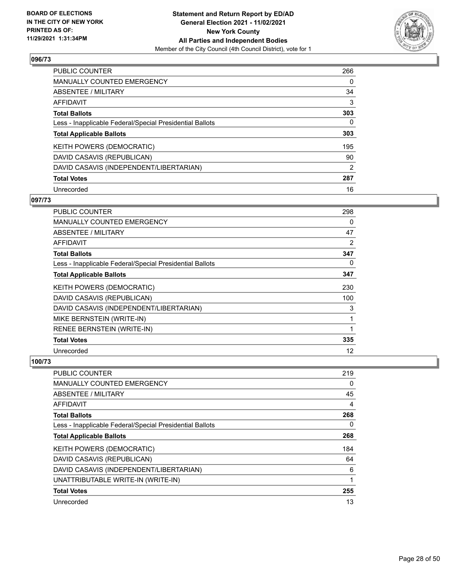

| <b>PUBLIC COUNTER</b>                                    | 266      |
|----------------------------------------------------------|----------|
| <b>MANUALLY COUNTED EMERGENCY</b>                        | $\Omega$ |
| ABSENTEE / MILITARY                                      | 34       |
| AFFIDAVIT                                                | 3        |
| <b>Total Ballots</b>                                     | 303      |
| Less - Inapplicable Federal/Special Presidential Ballots | 0        |
| <b>Total Applicable Ballots</b>                          | 303      |
| KEITH POWERS (DEMOCRATIC)                                | 195      |
| DAVID CASAVIS (REPUBLICAN)                               | 90       |
| DAVID CASAVIS (INDEPENDENT/LIBERTARIAN)                  | 2        |
| <b>Total Votes</b>                                       | 287      |
| Unrecorded                                               | 16       |

#### **097/73**

| PUBLIC COUNTER                                           | 298 |
|----------------------------------------------------------|-----|
| <b>MANUALLY COUNTED EMERGENCY</b>                        | 0   |
| ABSENTEE / MILITARY                                      | 47  |
| AFFIDAVIT                                                | 2   |
| <b>Total Ballots</b>                                     | 347 |
| Less - Inapplicable Federal/Special Presidential Ballots | 0   |
| <b>Total Applicable Ballots</b>                          | 347 |
| KEITH POWERS (DEMOCRATIC)                                | 230 |
| DAVID CASAVIS (REPUBLICAN)                               | 100 |
| DAVID CASAVIS (INDEPENDENT/LIBERTARIAN)                  | 3   |
| MIKE BERNSTEIN (WRITE-IN)                                | 1   |
| RENEE BERNSTEIN (WRITE-IN)                               | 1   |
| <b>Total Votes</b>                                       | 335 |
| Unrecorded                                               | 12  |

| PUBLIC COUNTER                                           | 219      |
|----------------------------------------------------------|----------|
| <b>MANUALLY COUNTED EMERGENCY</b>                        | 0        |
| ABSENTEE / MILITARY                                      | 45       |
| AFFIDAVIT                                                | 4        |
| <b>Total Ballots</b>                                     | 268      |
| Less - Inapplicable Federal/Special Presidential Ballots | $\Omega$ |
| <b>Total Applicable Ballots</b>                          | 268      |
| KEITH POWERS (DEMOCRATIC)                                | 184      |
| DAVID CASAVIS (REPUBLICAN)                               | 64       |
| DAVID CASAVIS (INDEPENDENT/LIBERTARIAN)                  | 6        |
| UNATTRIBUTABLE WRITE-IN (WRITE-IN)                       | 1        |
| <b>Total Votes</b>                                       | 255      |
| Unrecorded                                               | 13       |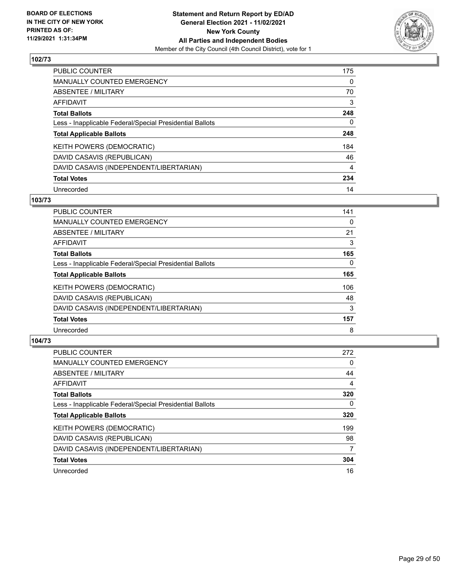

| PUBLIC COUNTER                                           | 175      |
|----------------------------------------------------------|----------|
| <b>MANUALLY COUNTED EMERGENCY</b>                        | $\Omega$ |
| ABSENTEE / MILITARY                                      | 70       |
| AFFIDAVIT                                                | 3        |
| <b>Total Ballots</b>                                     | 248      |
| Less - Inapplicable Federal/Special Presidential Ballots | 0        |
| <b>Total Applicable Ballots</b>                          | 248      |
| KEITH POWERS (DEMOCRATIC)                                | 184      |
| DAVID CASAVIS (REPUBLICAN)                               | 46       |
| DAVID CASAVIS (INDEPENDENT/LIBERTARIAN)                  | 4        |
| <b>Total Votes</b>                                       | 234      |
| Unrecorded                                               | 14       |

#### **103/73**

| <b>PUBLIC COUNTER</b>                                    | 141      |
|----------------------------------------------------------|----------|
| <b>MANUALLY COUNTED EMERGENCY</b>                        | 0        |
| ABSENTEE / MILITARY                                      | 21       |
| <b>AFFIDAVIT</b>                                         | 3        |
| <b>Total Ballots</b>                                     | 165      |
| Less - Inapplicable Federal/Special Presidential Ballots | $\Omega$ |
| <b>Total Applicable Ballots</b>                          | 165      |
| KEITH POWERS (DEMOCRATIC)                                | 106      |
| DAVID CASAVIS (REPUBLICAN)                               | 48       |
| DAVID CASAVIS (INDEPENDENT/LIBERTARIAN)                  | 3        |
| <b>Total Votes</b>                                       | 157      |
| Unrecorded                                               | 8        |

| <b>PUBLIC COUNTER</b>                                    | 272 |
|----------------------------------------------------------|-----|
| MANUALLY COUNTED EMERGENCY                               | 0   |
| ABSENTEE / MILITARY                                      | 44  |
| <b>AFFIDAVIT</b>                                         | 4   |
| <b>Total Ballots</b>                                     | 320 |
| Less - Inapplicable Federal/Special Presidential Ballots | 0   |
| <b>Total Applicable Ballots</b>                          | 320 |
| KEITH POWERS (DEMOCRATIC)                                | 199 |
| DAVID CASAVIS (REPUBLICAN)                               | 98  |
| DAVID CASAVIS (INDEPENDENT/LIBERTARIAN)                  | 7   |
| <b>Total Votes</b>                                       | 304 |
| Unrecorded                                               | 16  |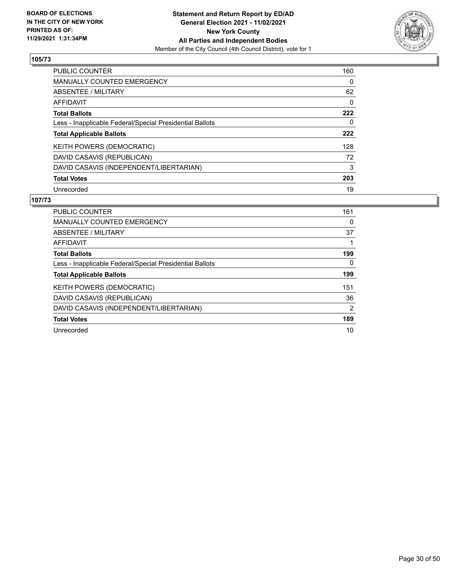

| <b>PUBLIC COUNTER</b>                                    | 160      |
|----------------------------------------------------------|----------|
| <b>MANUALLY COUNTED EMERGENCY</b>                        | 0        |
| ABSENTEE / MILITARY                                      | 62       |
| AFFIDAVIT                                                | $\Omega$ |
| <b>Total Ballots</b>                                     | 222      |
| Less - Inapplicable Federal/Special Presidential Ballots | 0        |
| <b>Total Applicable Ballots</b>                          | 222      |
| KEITH POWERS (DEMOCRATIC)                                | 128      |
| DAVID CASAVIS (REPUBLICAN)                               | 72       |
| DAVID CASAVIS (INDEPENDENT/LIBERTARIAN)                  | 3        |
| <b>Total Votes</b>                                       | 203      |
| Unrecorded                                               | 19       |

| <b>PUBLIC COUNTER</b>                                    | 161 |
|----------------------------------------------------------|-----|
| <b>MANUALLY COUNTED EMERGENCY</b>                        | 0   |
| ABSENTEE / MILITARY                                      | 37  |
| AFFIDAVIT                                                |     |
| <b>Total Ballots</b>                                     | 199 |
| Less - Inapplicable Federal/Special Presidential Ballots | 0   |
| <b>Total Applicable Ballots</b>                          | 199 |
| KEITH POWERS (DEMOCRATIC)                                | 151 |
| DAVID CASAVIS (REPUBLICAN)                               | 36  |
| DAVID CASAVIS (INDEPENDENT/LIBERTARIAN)                  | 2   |
| <b>Total Votes</b>                                       | 189 |
| Unrecorded                                               | 10  |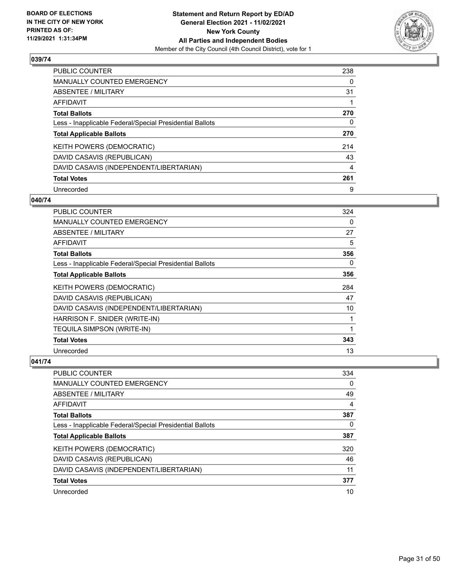

| PUBLIC COUNTER                                           | 238            |
|----------------------------------------------------------|----------------|
| <b>MANUALLY COUNTED EMERGENCY</b>                        | $\Omega$       |
| ABSENTEE / MILITARY                                      | 31             |
| AFFIDAVIT                                                |                |
| <b>Total Ballots</b>                                     | 270            |
| Less - Inapplicable Federal/Special Presidential Ballots | 0              |
| <b>Total Applicable Ballots</b>                          | 270            |
| KEITH POWERS (DEMOCRATIC)                                | 214            |
| DAVID CASAVIS (REPUBLICAN)                               | 43             |
| DAVID CASAVIS (INDEPENDENT/LIBERTARIAN)                  | $\overline{4}$ |
| <b>Total Votes</b>                                       | 261            |
| Unrecorded                                               | 9              |

#### **040/74**

| <b>PUBLIC COUNTER</b>                                    | 324 |
|----------------------------------------------------------|-----|
| <b>MANUALLY COUNTED EMERGENCY</b>                        | 0   |
| <b>ABSENTEE / MILITARY</b>                               | 27  |
| AFFIDAVIT                                                | 5   |
| <b>Total Ballots</b>                                     | 356 |
| Less - Inapplicable Federal/Special Presidential Ballots | 0   |
| <b>Total Applicable Ballots</b>                          | 356 |
| KEITH POWERS (DEMOCRATIC)                                | 284 |
| DAVID CASAVIS (REPUBLICAN)                               | 47  |
| DAVID CASAVIS (INDEPENDENT/LIBERTARIAN)                  | 10  |
| HARRISON F. SNIDER (WRITE-IN)                            | 1   |
| <b>TEQUILA SIMPSON (WRITE-IN)</b>                        | 1   |
| <b>Total Votes</b>                                       | 343 |
| Unrecorded                                               | 13  |

| <b>PUBLIC COUNTER</b>                                    | 334 |
|----------------------------------------------------------|-----|
| <b>MANUALLY COUNTED EMERGENCY</b>                        | 0   |
| ABSENTEE / MILITARY                                      | 49  |
| AFFIDAVIT                                                | 4   |
| <b>Total Ballots</b>                                     | 387 |
| Less - Inapplicable Federal/Special Presidential Ballots | 0   |
| <b>Total Applicable Ballots</b>                          | 387 |
| <b>KEITH POWERS (DEMOCRATIC)</b>                         | 320 |
| DAVID CASAVIS (REPUBLICAN)                               | 46  |
| DAVID CASAVIS (INDEPENDENT/LIBERTARIAN)                  | 11  |
| <b>Total Votes</b>                                       | 377 |
|                                                          |     |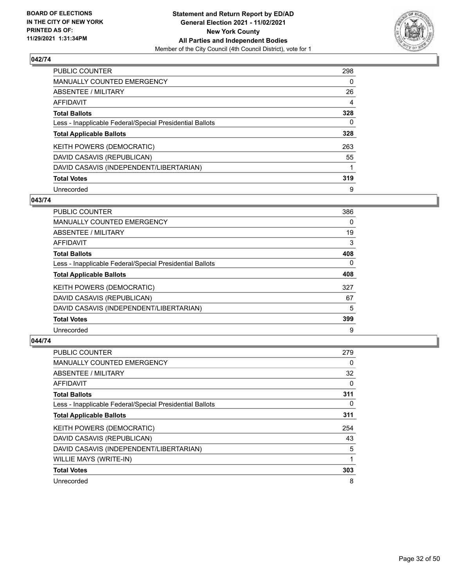

| <b>PUBLIC COUNTER</b>                                    | 298 |
|----------------------------------------------------------|-----|
| <b>MANUALLY COUNTED EMERGENCY</b>                        | 0   |
| ABSENTEE / MILITARY                                      | 26  |
| AFFIDAVIT                                                | 4   |
| <b>Total Ballots</b>                                     | 328 |
| Less - Inapplicable Federal/Special Presidential Ballots | 0   |
| <b>Total Applicable Ballots</b>                          | 328 |
| KEITH POWERS (DEMOCRATIC)                                | 263 |
| DAVID CASAVIS (REPUBLICAN)                               | 55  |
| DAVID CASAVIS (INDEPENDENT/LIBERTARIAN)                  |     |
| <b>Total Votes</b>                                       | 319 |
| Unrecorded                                               | 9   |

#### **043/74**

| <b>PUBLIC COUNTER</b>                                    | 386      |
|----------------------------------------------------------|----------|
| MANUALLY COUNTED EMERGENCY                               | 0        |
| ABSENTEE / MILITARY                                      | 19       |
| <b>AFFIDAVIT</b>                                         | 3        |
| <b>Total Ballots</b>                                     | 408      |
| Less - Inapplicable Federal/Special Presidential Ballots | $\Omega$ |
| <b>Total Applicable Ballots</b>                          | 408      |
| KEITH POWERS (DEMOCRATIC)                                | 327      |
| DAVID CASAVIS (REPUBLICAN)                               | 67       |
| DAVID CASAVIS (INDEPENDENT/LIBERTARIAN)                  | 5        |
| <b>Total Votes</b>                                       | 399      |
| Unrecorded                                               | 9        |

| <b>PUBLIC COUNTER</b>                                    | 279      |
|----------------------------------------------------------|----------|
| <b>MANUALLY COUNTED EMERGENCY</b>                        | 0        |
| ABSENTEE / MILITARY                                      | 32       |
| <b>AFFIDAVIT</b>                                         | 0        |
| <b>Total Ballots</b>                                     | 311      |
| Less - Inapplicable Federal/Special Presidential Ballots | $\Omega$ |
| <b>Total Applicable Ballots</b>                          | 311      |
| <b>KEITH POWERS (DEMOCRATIC)</b>                         | 254      |
| DAVID CASAVIS (REPUBLICAN)                               | 43       |
| DAVID CASAVIS (INDEPENDENT/LIBERTARIAN)                  | 5        |
| <b>WILLIE MAYS (WRITE-IN)</b>                            |          |
| <b>Total Votes</b>                                       | 303      |
| Unrecorded                                               | 8        |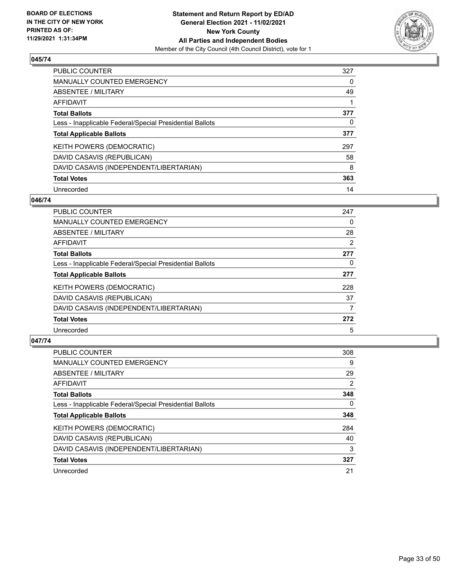

| <b>PUBLIC COUNTER</b>                                    | 327 |
|----------------------------------------------------------|-----|
| <b>MANUALLY COUNTED EMERGENCY</b>                        | 0   |
| ABSENTEE / MILITARY                                      | 49  |
| AFFIDAVIT                                                |     |
| <b>Total Ballots</b>                                     | 377 |
| Less - Inapplicable Federal/Special Presidential Ballots | 0   |
| <b>Total Applicable Ballots</b>                          | 377 |
| KEITH POWERS (DEMOCRATIC)                                | 297 |
| DAVID CASAVIS (REPUBLICAN)                               | 58  |
| DAVID CASAVIS (INDEPENDENT/LIBERTARIAN)                  | 8   |
| <b>Total Votes</b>                                       | 363 |
| Unrecorded                                               | 14  |

#### **046/74**

| <b>PUBLIC COUNTER</b>                                    | 247 |
|----------------------------------------------------------|-----|
| MANUALLY COUNTED EMERGENCY                               | 0   |
| ABSENTEE / MILITARY                                      | 28  |
| <b>AFFIDAVIT</b>                                         | 2   |
| <b>Total Ballots</b>                                     | 277 |
| Less - Inapplicable Federal/Special Presidential Ballots | 0   |
| <b>Total Applicable Ballots</b>                          | 277 |
| KEITH POWERS (DEMOCRATIC)                                | 228 |
| DAVID CASAVIS (REPUBLICAN)                               | 37  |
| DAVID CASAVIS (INDEPENDENT/LIBERTARIAN)                  | 7   |
| <b>Total Votes</b>                                       | 272 |
| Unrecorded                                               | 5   |

| <b>PUBLIC COUNTER</b>                                    | 308            |
|----------------------------------------------------------|----------------|
| <b>MANUALLY COUNTED EMERGENCY</b>                        | 9              |
| ABSENTEE / MILITARY                                      | 29             |
| <b>AFFIDAVIT</b>                                         | $\overline{2}$ |
| <b>Total Ballots</b>                                     | 348            |
| Less - Inapplicable Federal/Special Presidential Ballots | $\Omega$       |
| <b>Total Applicable Ballots</b>                          | 348            |
| <b>KEITH POWERS (DEMOCRATIC)</b>                         | 284            |
| DAVID CASAVIS (REPUBLICAN)                               | 40             |
| DAVID CASAVIS (INDEPENDENT/LIBERTARIAN)                  | 3              |
| <b>Total Votes</b>                                       | 327            |
| Unrecorded                                               | 21             |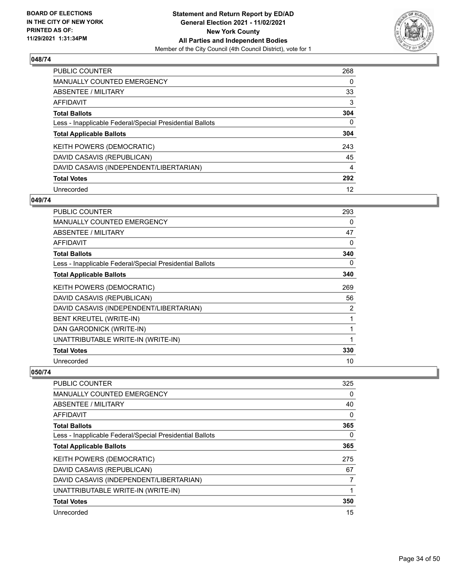

| <b>PUBLIC COUNTER</b>                                    | 268      |
|----------------------------------------------------------|----------|
| <b>MANUALLY COUNTED EMERGENCY</b>                        | $\Omega$ |
| ABSENTEE / MILITARY                                      | 33       |
| AFFIDAVIT                                                | 3        |
| <b>Total Ballots</b>                                     | 304      |
| Less - Inapplicable Federal/Special Presidential Ballots | 0        |
| <b>Total Applicable Ballots</b>                          | 304      |
| KEITH POWERS (DEMOCRATIC)                                | 243      |
| DAVID CASAVIS (REPUBLICAN)                               | 45       |
| DAVID CASAVIS (INDEPENDENT/LIBERTARIAN)                  | 4        |
| <b>Total Votes</b>                                       | 292      |
| Unrecorded                                               | 12       |

#### **049/74**

| <b>PUBLIC COUNTER</b>                                    | 293 |
|----------------------------------------------------------|-----|
| <b>MANUALLY COUNTED EMERGENCY</b>                        | 0   |
| ABSENTEE / MILITARY                                      | 47  |
| AFFIDAVIT                                                | 0   |
| <b>Total Ballots</b>                                     | 340 |
| Less - Inapplicable Federal/Special Presidential Ballots | 0   |
| <b>Total Applicable Ballots</b>                          | 340 |
| KEITH POWERS (DEMOCRATIC)                                | 269 |
| DAVID CASAVIS (REPUBLICAN)                               | 56  |
| DAVID CASAVIS (INDEPENDENT/LIBERTARIAN)                  | 2   |
| <b>BENT KREUTEL (WRITE-IN)</b>                           | 1   |
| DAN GARODNICK (WRITE-IN)                                 |     |
| UNATTRIBUTABLE WRITE-IN (WRITE-IN)                       | 1   |
| <b>Total Votes</b>                                       | 330 |
| Unrecorded                                               | 10  |

| <b>PUBLIC COUNTER</b>                                    | 325      |
|----------------------------------------------------------|----------|
| <b>MANUALLY COUNTED EMERGENCY</b>                        | $\Omega$ |
| ABSENTEE / MILITARY                                      | 40       |
| AFFIDAVIT                                                | 0        |
| <b>Total Ballots</b>                                     | 365      |
| Less - Inapplicable Federal/Special Presidential Ballots | $\Omega$ |
| <b>Total Applicable Ballots</b>                          | 365      |
| <b>KEITH POWERS (DEMOCRATIC)</b>                         | 275      |
| DAVID CASAVIS (REPUBLICAN)                               | 67       |
| DAVID CASAVIS (INDEPENDENT/LIBERTARIAN)                  | 7        |
| UNATTRIBUTABLE WRITE-IN (WRITE-IN)                       |          |
| <b>Total Votes</b>                                       | 350      |
| Unrecorded                                               | 15       |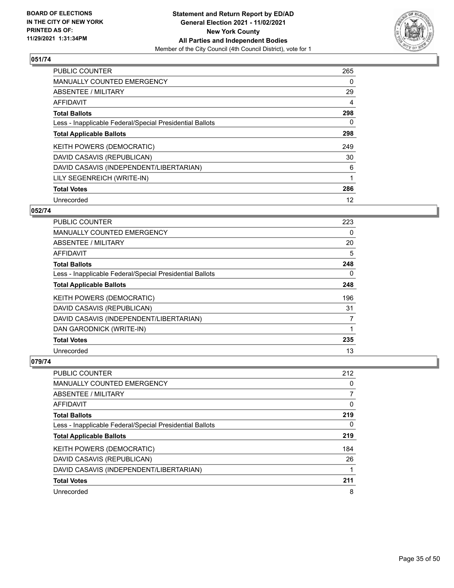

| <b>PUBLIC COUNTER</b>                                    | 265 |
|----------------------------------------------------------|-----|
| <b>MANUALLY COUNTED EMERGENCY</b>                        | 0   |
| ABSENTEE / MILITARY                                      | 29  |
| AFFIDAVIT                                                | 4   |
| <b>Total Ballots</b>                                     | 298 |
| Less - Inapplicable Federal/Special Presidential Ballots | 0   |
| <b>Total Applicable Ballots</b>                          | 298 |
| KEITH POWERS (DEMOCRATIC)                                | 249 |
| DAVID CASAVIS (REPUBLICAN)                               | 30  |
| DAVID CASAVIS (INDEPENDENT/LIBERTARIAN)                  | 6   |
| LILY SEGENREICH (WRITE-IN)                               |     |
| <b>Total Votes</b>                                       | 286 |
| Unrecorded                                               | 12  |

## **052/74**

| <b>PUBLIC COUNTER</b>                                    | 223 |
|----------------------------------------------------------|-----|
| <b>MANUALLY COUNTED EMERGENCY</b>                        | 0   |
| ABSENTEE / MILITARY                                      | 20  |
| <b>AFFIDAVIT</b>                                         | 5   |
| <b>Total Ballots</b>                                     | 248 |
| Less - Inapplicable Federal/Special Presidential Ballots | 0   |
| <b>Total Applicable Ballots</b>                          | 248 |
| <b>KEITH POWERS (DEMOCRATIC)</b>                         | 196 |
| DAVID CASAVIS (REPUBLICAN)                               | 31  |
| DAVID CASAVIS (INDEPENDENT/LIBERTARIAN)                  | 7   |
| DAN GARODNICK (WRITE-IN)                                 |     |
| <b>Total Votes</b>                                       | 235 |
| Unrecorded                                               | 13  |

| <b>PUBLIC COUNTER</b>                                    | 212 |
|----------------------------------------------------------|-----|
| <b>MANUALLY COUNTED EMERGENCY</b>                        | 0   |
| ABSENTEE / MILITARY                                      |     |
| AFFIDAVIT                                                | 0   |
| <b>Total Ballots</b>                                     | 219 |
| Less - Inapplicable Federal/Special Presidential Ballots | 0   |
| <b>Total Applicable Ballots</b>                          | 219 |
| <b>KEITH POWERS (DEMOCRATIC)</b>                         | 184 |
| DAVID CASAVIS (REPUBLICAN)                               | 26  |
| DAVID CASAVIS (INDEPENDENT/LIBERTARIAN)                  |     |
| <b>Total Votes</b>                                       | 211 |
| Unrecorded                                               | 8   |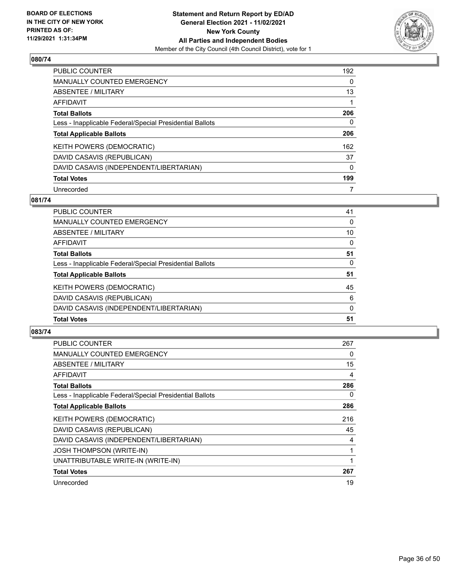

| <b>PUBLIC COUNTER</b>                                    | 192 |
|----------------------------------------------------------|-----|
| <b>MANUALLY COUNTED EMERGENCY</b>                        | 0   |
| ABSENTEE / MILITARY                                      | 13  |
| AFFIDAVIT                                                |     |
| <b>Total Ballots</b>                                     | 206 |
| Less - Inapplicable Federal/Special Presidential Ballots | 0   |
| <b>Total Applicable Ballots</b>                          | 206 |
| KEITH POWERS (DEMOCRATIC)                                | 162 |
| DAVID CASAVIS (REPUBLICAN)                               | 37  |
| DAVID CASAVIS (INDEPENDENT/LIBERTARIAN)                  | 0   |
| <b>Total Votes</b>                                       | 199 |
|                                                          |     |

#### **081/74**

| <b>Total Votes</b>                                       | 51       |
|----------------------------------------------------------|----------|
| DAVID CASAVIS (INDEPENDENT/LIBERTARIAN)                  | $\Omega$ |
| DAVID CASAVIS (REPUBLICAN)                               | 6        |
| KEITH POWERS (DEMOCRATIC)                                | 45       |
| <b>Total Applicable Ballots</b>                          | 51       |
| Less - Inapplicable Federal/Special Presidential Ballots | 0        |
| <b>Total Ballots</b>                                     | 51       |
| AFFIDAVIT                                                | $\Omega$ |
| ABSENTEE / MILITARY                                      | 10       |
| MANUALLY COUNTED EMERGENCY                               | $\Omega$ |
| PUBLIC COUNTER                                           | 41       |

| <b>PUBLIC COUNTER</b>                                    | 267 |
|----------------------------------------------------------|-----|
| <b>MANUALLY COUNTED EMERGENCY</b>                        | 0   |
| ABSENTEE / MILITARY                                      | 15  |
| AFFIDAVIT                                                | 4   |
| <b>Total Ballots</b>                                     | 286 |
| Less - Inapplicable Federal/Special Presidential Ballots | 0   |
| <b>Total Applicable Ballots</b>                          | 286 |
| <b>KEITH POWERS (DEMOCRATIC)</b>                         | 216 |
| DAVID CASAVIS (REPUBLICAN)                               | 45  |
| DAVID CASAVIS (INDEPENDENT/LIBERTARIAN)                  | 4   |
| <b>JOSH THOMPSON (WRITE-IN)</b>                          | 1   |
| UNATTRIBUTABLE WRITE-IN (WRITE-IN)                       |     |
| <b>Total Votes</b>                                       | 267 |
| Unrecorded                                               | 19  |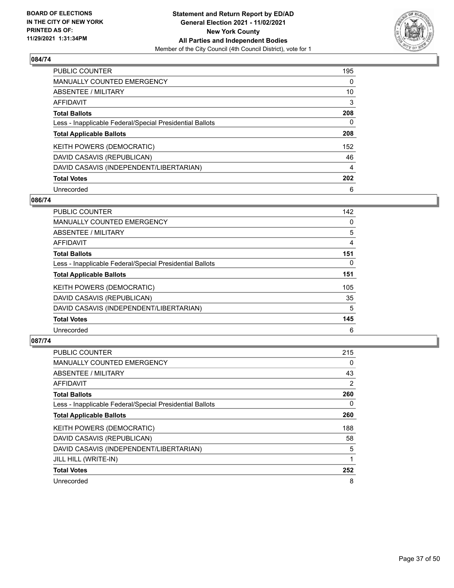

| <b>PUBLIC COUNTER</b>                                    | 195      |
|----------------------------------------------------------|----------|
| <b>MANUALLY COUNTED EMERGENCY</b>                        | $\Omega$ |
| ABSENTEE / MILITARY                                      | 10       |
| AFFIDAVIT                                                | 3        |
| <b>Total Ballots</b>                                     | 208      |
| Less - Inapplicable Federal/Special Presidential Ballots | 0        |
| <b>Total Applicable Ballots</b>                          | 208      |
| KEITH POWERS (DEMOCRATIC)                                | 152      |
| DAVID CASAVIS (REPUBLICAN)                               | 46       |
| DAVID CASAVIS (INDEPENDENT/LIBERTARIAN)                  | 4        |
| <b>Total Votes</b>                                       | 202      |
| Unrecorded                                               | 6        |

#### **086/74**

| <b>PUBLIC COUNTER</b>                                    | 142      |
|----------------------------------------------------------|----------|
| MANUALLY COUNTED EMERGENCY                               | 0        |
| ABSENTEE / MILITARY                                      | 5        |
| <b>AFFIDAVIT</b>                                         | 4        |
| <b>Total Ballots</b>                                     | 151      |
| Less - Inapplicable Federal/Special Presidential Ballots | $\Omega$ |
| <b>Total Applicable Ballots</b>                          | 151      |
| KEITH POWERS (DEMOCRATIC)                                | 105      |
| DAVID CASAVIS (REPUBLICAN)                               | 35       |
| DAVID CASAVIS (INDEPENDENT/LIBERTARIAN)                  | 5        |
| <b>Total Votes</b>                                       | 145      |
| Unrecorded                                               | 6        |

| <b>PUBLIC COUNTER</b>                                    | 215 |
|----------------------------------------------------------|-----|
| MANUALLY COUNTED EMERGENCY                               | 0   |
| ABSENTEE / MILITARY                                      | 43  |
| AFFIDAVIT                                                | 2   |
| <b>Total Ballots</b>                                     | 260 |
| Less - Inapplicable Federal/Special Presidential Ballots | 0   |
| <b>Total Applicable Ballots</b>                          | 260 |
| KEITH POWERS (DEMOCRATIC)                                | 188 |
| DAVID CASAVIS (REPUBLICAN)                               | 58  |
| DAVID CASAVIS (INDEPENDENT/LIBERTARIAN)                  | 5   |
| JILL HILL (WRITE-IN)                                     |     |
| <b>Total Votes</b>                                       | 252 |
| Unrecorded                                               | 8   |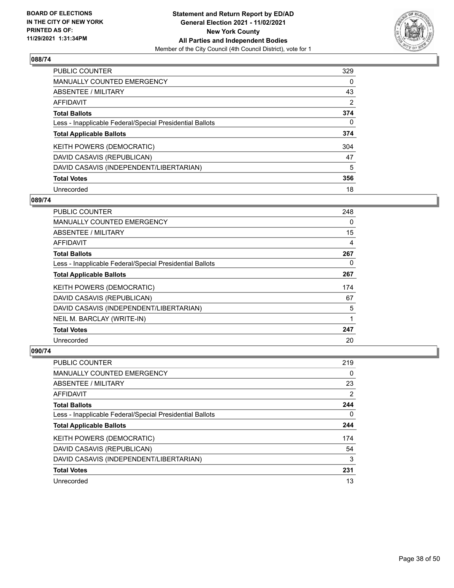

| PUBLIC COUNTER                                           | 329      |
|----------------------------------------------------------|----------|
| <b>MANUALLY COUNTED EMERGENCY</b>                        | $\Omega$ |
| ABSENTEE / MILITARY                                      | 43       |
| AFFIDAVIT                                                | 2        |
| <b>Total Ballots</b>                                     | 374      |
| Less - Inapplicable Federal/Special Presidential Ballots | 0        |
| <b>Total Applicable Ballots</b>                          | 374      |
| KEITH POWERS (DEMOCRATIC)                                | 304      |
| DAVID CASAVIS (REPUBLICAN)                               | 47       |
| DAVID CASAVIS (INDEPENDENT/LIBERTARIAN)                  | 5        |
| <b>Total Votes</b>                                       | 356      |
| Unrecorded                                               | 18       |

#### **089/74**

| <b>PUBLIC COUNTER</b>                                    | 248      |
|----------------------------------------------------------|----------|
| MANUALLY COUNTED EMERGENCY                               | $\Omega$ |
| ABSENTEE / MILITARY                                      | 15       |
| <b>AFFIDAVIT</b>                                         | 4        |
| <b>Total Ballots</b>                                     | 267      |
| Less - Inapplicable Federal/Special Presidential Ballots | 0        |
| <b>Total Applicable Ballots</b>                          | 267      |
| KEITH POWERS (DEMOCRATIC)                                | 174      |
| DAVID CASAVIS (REPUBLICAN)                               | 67       |
| DAVID CASAVIS (INDEPENDENT/LIBERTARIAN)                  | 5        |
| NEIL M. BARCLAY (WRITE-IN)                               | 1        |
| <b>Total Votes</b>                                       | 247      |
| Unrecorded                                               | 20       |

| <b>PUBLIC COUNTER</b>                                    | 219 |
|----------------------------------------------------------|-----|
| <b>MANUALLY COUNTED EMERGENCY</b>                        | 0   |
| ABSENTEE / MILITARY                                      | 23  |
| AFFIDAVIT                                                | 2   |
| <b>Total Ballots</b>                                     | 244 |
| Less - Inapplicable Federal/Special Presidential Ballots | 0   |
| <b>Total Applicable Ballots</b>                          | 244 |
| KEITH POWERS (DEMOCRATIC)                                | 174 |
| DAVID CASAVIS (REPUBLICAN)                               | 54  |
| DAVID CASAVIS (INDEPENDENT/LIBERTARIAN)                  | 3   |
| <b>Total Votes</b>                                       | 231 |
| Unrecorded                                               | 13  |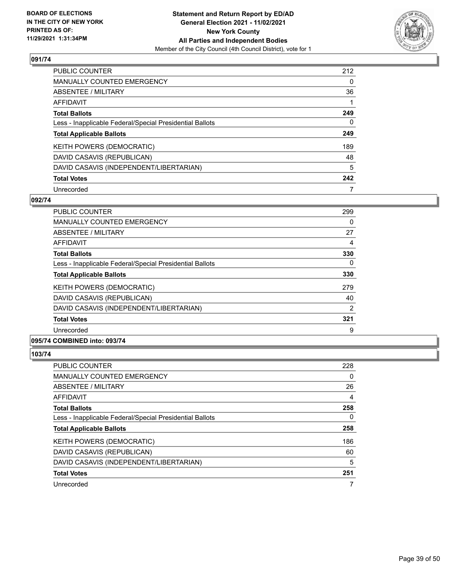

| <b>PUBLIC COUNTER</b>                                    | 212      |
|----------------------------------------------------------|----------|
| <b>MANUALLY COUNTED EMERGENCY</b>                        | $\Omega$ |
| ABSENTEE / MILITARY                                      | 36       |
| AFFIDAVIT                                                |          |
| <b>Total Ballots</b>                                     | 249      |
| Less - Inapplicable Federal/Special Presidential Ballots | 0        |
| <b>Total Applicable Ballots</b>                          | 249      |
| KEITH POWERS (DEMOCRATIC)                                | 189      |
| DAVID CASAVIS (REPUBLICAN)                               | 48       |
| DAVID CASAVIS (INDEPENDENT/LIBERTARIAN)                  | 5        |
| <b>Total Votes</b>                                       | 242      |
| Unrecorded                                               |          |

#### **092/74**

| <b>PUBLIC COUNTER</b>                                    | 299 |
|----------------------------------------------------------|-----|
| <b>MANUALLY COUNTED EMERGENCY</b>                        | 0   |
| ABSENTEE / MILITARY                                      | 27  |
| <b>AFFIDAVIT</b>                                         | 4   |
| <b>Total Ballots</b>                                     | 330 |
| Less - Inapplicable Federal/Special Presidential Ballots | 0   |
| <b>Total Applicable Ballots</b>                          | 330 |
| KEITH POWERS (DEMOCRATIC)                                | 279 |
| DAVID CASAVIS (REPUBLICAN)                               | 40  |
| DAVID CASAVIS (INDEPENDENT/LIBERTARIAN)                  | 2   |
| <b>Total Votes</b>                                       | 321 |
| Unrecorded                                               | 9   |
|                                                          |     |

# **095/74 COMBINED into: 093/74**

| <b>PUBLIC COUNTER</b>                                    | 228 |
|----------------------------------------------------------|-----|
| <b>MANUALLY COUNTED EMERGENCY</b>                        | 0   |
| ABSENTEE / MILITARY                                      | 26  |
| AFFIDAVIT                                                | 4   |
| <b>Total Ballots</b>                                     | 258 |
| Less - Inapplicable Federal/Special Presidential Ballots | 0   |
| <b>Total Applicable Ballots</b>                          | 258 |
| <b>KEITH POWERS (DEMOCRATIC)</b>                         | 186 |
| DAVID CASAVIS (REPUBLICAN)                               | 60  |
| DAVID CASAVIS (INDEPENDENT/LIBERTARIAN)                  | 5   |
| <b>Total Votes</b>                                       | 251 |
| Unrecorded                                               |     |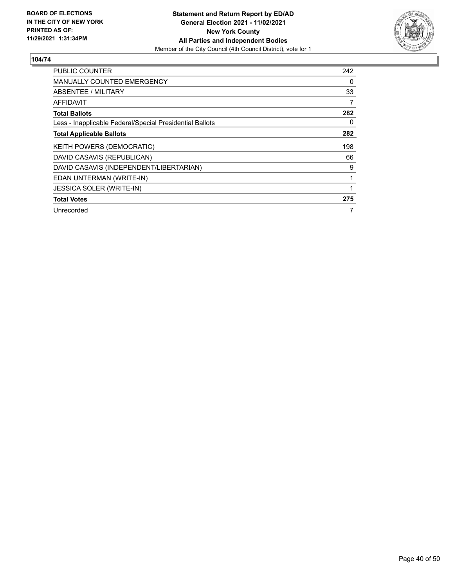

| PUBLIC COUNTER                                           | 242      |
|----------------------------------------------------------|----------|
| <b>MANUALLY COUNTED EMERGENCY</b>                        | 0        |
| <b>ABSENTEE / MILITARY</b>                               | 33       |
| AFFIDAVIT                                                | 7        |
| <b>Total Ballots</b>                                     | 282      |
| Less - Inapplicable Federal/Special Presidential Ballots | $\Omega$ |
| <b>Total Applicable Ballots</b>                          | 282      |
| KEITH POWERS (DEMOCRATIC)                                | 198      |
| DAVID CASAVIS (REPUBLICAN)                               | 66       |
| DAVID CASAVIS (INDEPENDENT/LIBERTARIAN)                  | 9        |
| EDAN UNTERMAN (WRITE-IN)                                 | 1        |
| JESSICA SOLER (WRITE-IN)                                 | 1        |
| <b>Total Votes</b>                                       | 275      |
| Unrecorded                                               | 7        |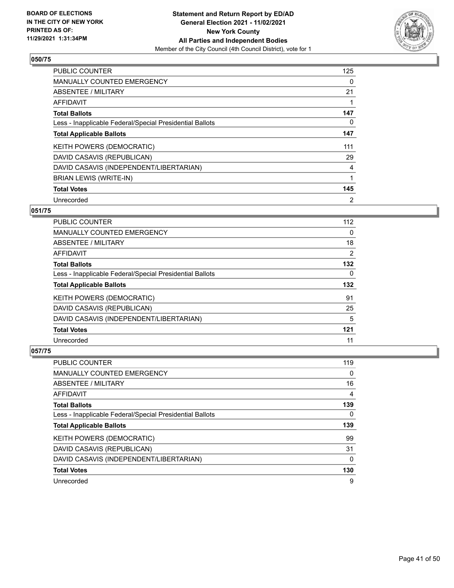

| <b>PUBLIC COUNTER</b>                                    | 125 |
|----------------------------------------------------------|-----|
| <b>MANUALLY COUNTED EMERGENCY</b>                        | 0   |
| ABSENTEE / MILITARY                                      | 21  |
| <b>AFFIDAVIT</b>                                         |     |
| <b>Total Ballots</b>                                     | 147 |
| Less - Inapplicable Federal/Special Presidential Ballots | 0   |
| <b>Total Applicable Ballots</b>                          | 147 |
| KEITH POWERS (DEMOCRATIC)                                | 111 |
| DAVID CASAVIS (REPUBLICAN)                               | 29  |
| DAVID CASAVIS (INDEPENDENT/LIBERTARIAN)                  | 4   |
| <b>BRIAN LEWIS (WRITE-IN)</b>                            | 1   |
| <b>Total Votes</b>                                       | 145 |
| Unrecorded                                               | 2   |

# **051/75**

| <b>PUBLIC COUNTER</b>                                    | 112 |
|----------------------------------------------------------|-----|
| <b>MANUALLY COUNTED EMERGENCY</b>                        | 0   |
| ABSENTEE / MILITARY                                      | 18  |
| AFFIDAVIT                                                | 2   |
| <b>Total Ballots</b>                                     | 132 |
| Less - Inapplicable Federal/Special Presidential Ballots | 0   |
| <b>Total Applicable Ballots</b>                          | 132 |
| <b>KEITH POWERS (DEMOCRATIC)</b>                         | 91  |
| DAVID CASAVIS (REPUBLICAN)                               | 25  |
| DAVID CASAVIS (INDEPENDENT/LIBERTARIAN)                  | 5   |
| <b>Total Votes</b>                                       | 121 |
| Unrecorded                                               | 11  |

| <b>PUBLIC COUNTER</b>                                    | 119 |
|----------------------------------------------------------|-----|
| <b>MANUALLY COUNTED EMERGENCY</b>                        | 0   |
| ABSENTEE / MILITARY                                      | 16  |
| AFFIDAVIT                                                | 4   |
| <b>Total Ballots</b>                                     | 139 |
| Less - Inapplicable Federal/Special Presidential Ballots | 0   |
|                                                          |     |
| <b>Total Applicable Ballots</b>                          | 139 |
| KEITH POWERS (DEMOCRATIC)                                | 99  |
| DAVID CASAVIS (REPUBLICAN)                               | 31  |
| DAVID CASAVIS (INDEPENDENT/LIBERTARIAN)                  | 0   |
| <b>Total Votes</b>                                       | 130 |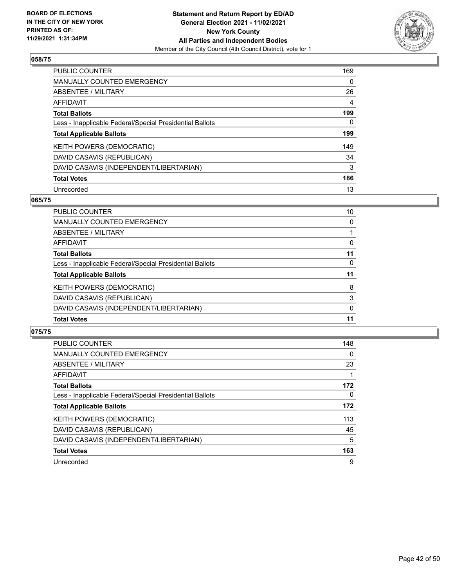

| <b>PUBLIC COUNTER</b>                                    | 169      |
|----------------------------------------------------------|----------|
| <b>MANUALLY COUNTED EMERGENCY</b>                        | $\Omega$ |
| ABSENTEE / MILITARY                                      | 26       |
| <b>AFFIDAVIT</b>                                         | 4        |
| <b>Total Ballots</b>                                     | 199      |
| Less - Inapplicable Federal/Special Presidential Ballots | 0        |
| <b>Total Applicable Ballots</b>                          | 199      |
| KEITH POWERS (DEMOCRATIC)                                | 149      |
| DAVID CASAVIS (REPUBLICAN)                               | 34       |
| DAVID CASAVIS (INDEPENDENT/LIBERTARIAN)                  | 3        |
| <b>Total Votes</b>                                       | 186      |
| Unrecorded                                               | 13       |

#### **065/75**

| PUBLIC COUNTER                                           | 10       |
|----------------------------------------------------------|----------|
| <b>MANUALLY COUNTED EMERGENCY</b>                        | $\Omega$ |
| ABSENTEE / MILITARY                                      |          |
| AFFIDAVIT                                                | 0        |
| <b>Total Ballots</b>                                     | 11       |
| Less - Inapplicable Federal/Special Presidential Ballots | $\Omega$ |
| <b>Total Applicable Ballots</b>                          | 11       |
| KEITH POWERS (DEMOCRATIC)                                | 8        |
| DAVID CASAVIS (REPUBLICAN)                               | 3        |
| DAVID CASAVIS (INDEPENDENT/LIBERTARIAN)                  | $\Omega$ |
| <b>Total Votes</b>                                       | 11       |

| <b>PUBLIC COUNTER</b>                                    | 148      |
|----------------------------------------------------------|----------|
| <b>MANUALLY COUNTED EMERGENCY</b>                        | 0        |
| ABSENTEE / MILITARY                                      | 23       |
| AFFIDAVIT                                                |          |
| <b>Total Ballots</b>                                     | 172      |
| Less - Inapplicable Federal/Special Presidential Ballots | $\Omega$ |
| <b>Total Applicable Ballots</b>                          | 172      |
| <b>KEITH POWERS (DEMOCRATIC)</b>                         | 113      |
| DAVID CASAVIS (REPUBLICAN)                               | 45       |
| DAVID CASAVIS (INDEPENDENT/LIBERTARIAN)                  | 5        |
| <b>Total Votes</b>                                       | 163      |
| Unrecorded                                               | 9        |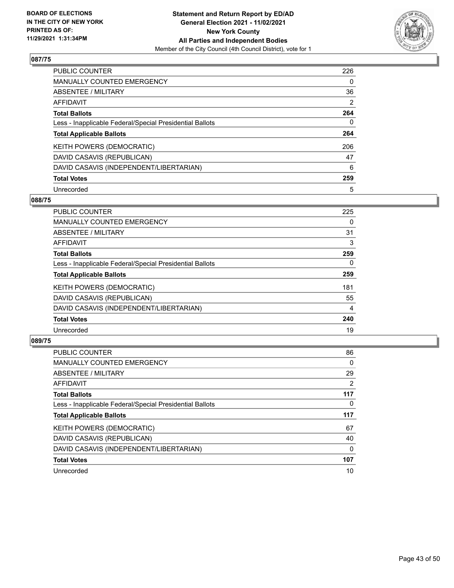

| <b>PUBLIC COUNTER</b>                                    | 226            |
|----------------------------------------------------------|----------------|
| <b>MANUALLY COUNTED EMERGENCY</b>                        | 0              |
| ABSENTEE / MILITARY                                      | 36             |
| AFFIDAVIT                                                | $\overline{2}$ |
| <b>Total Ballots</b>                                     | 264            |
| Less - Inapplicable Federal/Special Presidential Ballots | 0              |
| <b>Total Applicable Ballots</b>                          | 264            |
| KEITH POWERS (DEMOCRATIC)                                | 206            |
| DAVID CASAVIS (REPUBLICAN)                               | 47             |
| DAVID CASAVIS (INDEPENDENT/LIBERTARIAN)                  | 6              |
| <b>Total Votes</b>                                       | 259            |
| Unrecorded                                               | 5              |

#### **088/75**

| <b>PUBLIC COUNTER</b>                                    | 225      |
|----------------------------------------------------------|----------|
| <b>MANUALLY COUNTED EMERGENCY</b>                        | 0        |
| ABSENTEE / MILITARY                                      | 31       |
| <b>AFFIDAVIT</b>                                         | 3        |
| <b>Total Ballots</b>                                     | 259      |
| Less - Inapplicable Federal/Special Presidential Ballots | $\Omega$ |
| <b>Total Applicable Ballots</b>                          | 259      |
| KEITH POWERS (DEMOCRATIC)                                | 181      |
| DAVID CASAVIS (REPUBLICAN)                               | 55       |
| DAVID CASAVIS (INDEPENDENT/LIBERTARIAN)                  | 4        |
| <b>Total Votes</b>                                       | 240      |
| Unrecorded                                               | 19       |

| <b>PUBLIC COUNTER</b>                                    | 86       |
|----------------------------------------------------------|----------|
| <b>MANUALLY COUNTED EMERGENCY</b>                        | $\Omega$ |
| ABSENTEE / MILITARY                                      | 29       |
| <b>AFFIDAVIT</b>                                         | 2        |
| <b>Total Ballots</b>                                     | 117      |
| Less - Inapplicable Federal/Special Presidential Ballots | 0        |
| <b>Total Applicable Ballots</b>                          | 117      |
| KEITH POWERS (DEMOCRATIC)                                | 67       |
| DAVID CASAVIS (REPUBLICAN)                               | 40       |
| DAVID CASAVIS (INDEPENDENT/LIBERTARIAN)                  | $\Omega$ |
| <b>Total Votes</b>                                       | 107      |
| Unrecorded                                               | 10       |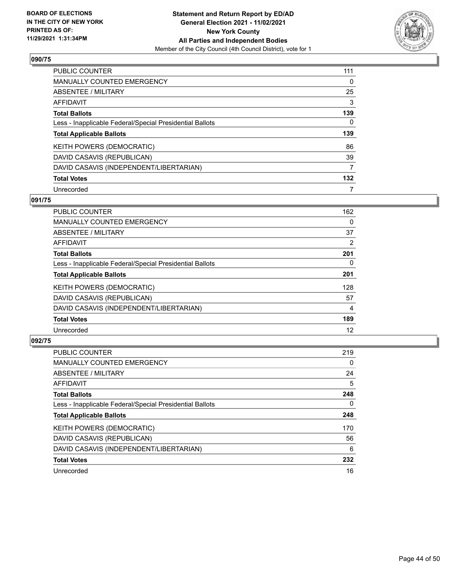

| <b>PUBLIC COUNTER</b>                                    | 111 |
|----------------------------------------------------------|-----|
| <b>MANUALLY COUNTED EMERGENCY</b>                        | 0   |
| ABSENTEE / MILITARY                                      | 25  |
| AFFIDAVIT                                                | 3   |
| <b>Total Ballots</b>                                     | 139 |
| Less - Inapplicable Federal/Special Presidential Ballots | 0   |
| <b>Total Applicable Ballots</b>                          | 139 |
|                                                          |     |
| KEITH POWERS (DEMOCRATIC)                                | 86  |
| DAVID CASAVIS (REPUBLICAN)                               | 39  |
| DAVID CASAVIS (INDEPENDENT/LIBERTARIAN)                  | 7   |
| <b>Total Votes</b>                                       | 132 |

#### **091/75**

| <b>PUBLIC COUNTER</b>                                    | 162 |
|----------------------------------------------------------|-----|
| MANUALLY COUNTED EMERGENCY                               | 0   |
| ABSENTEE / MILITARY                                      | 37  |
| <b>AFFIDAVIT</b>                                         | 2   |
| <b>Total Ballots</b>                                     | 201 |
| Less - Inapplicable Federal/Special Presidential Ballots | 0   |
| <b>Total Applicable Ballots</b>                          | 201 |
| KEITH POWERS (DEMOCRATIC)                                | 128 |
| DAVID CASAVIS (REPUBLICAN)                               | 57  |
| DAVID CASAVIS (INDEPENDENT/LIBERTARIAN)                  | 4   |
| <b>Total Votes</b>                                       | 189 |
| Unrecorded                                               | 12  |

| <b>PUBLIC COUNTER</b>                                    | 219      |
|----------------------------------------------------------|----------|
| <b>MANUALLY COUNTED EMERGENCY</b>                        | $\Omega$ |
| ABSENTEE / MILITARY                                      | 24       |
| AFFIDAVIT                                                | 5        |
| <b>Total Ballots</b>                                     | 248      |
| Less - Inapplicable Federal/Special Presidential Ballots | 0        |
| <b>Total Applicable Ballots</b>                          | 248      |
| KEITH POWERS (DEMOCRATIC)                                | 170      |
| DAVID CASAVIS (REPUBLICAN)                               | 56       |
| DAVID CASAVIS (INDEPENDENT/LIBERTARIAN)                  | 6        |
| <b>Total Votes</b>                                       | 232      |
| Unrecorded                                               | 16       |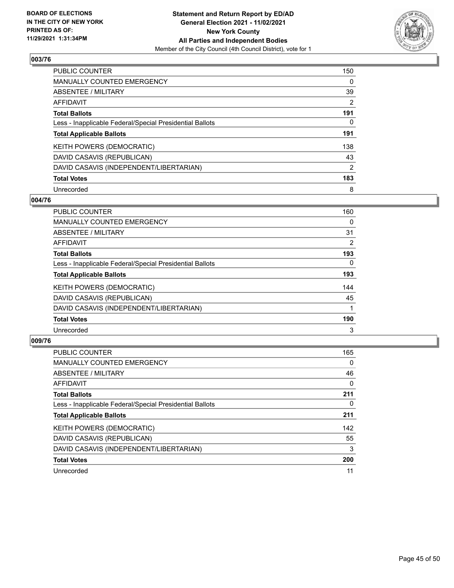

| <b>PUBLIC COUNTER</b>                                    | 150            |
|----------------------------------------------------------|----------------|
| <b>MANUALLY COUNTED EMERGENCY</b>                        | 0              |
| ABSENTEE / MILITARY                                      | 39             |
| AFFIDAVIT                                                | 2              |
| <b>Total Ballots</b>                                     | 191            |
| Less - Inapplicable Federal/Special Presidential Ballots | 0              |
| <b>Total Applicable Ballots</b>                          | 191            |
| KEITH POWERS (DEMOCRATIC)                                | 138            |
| DAVID CASAVIS (REPUBLICAN)                               | 43             |
| DAVID CASAVIS (INDEPENDENT/LIBERTARIAN)                  | $\overline{2}$ |
| <b>Total Votes</b>                                       | 183            |
| Unrecorded                                               | 8              |

#### **004/76**

| <b>PUBLIC COUNTER</b>                                    | 160            |
|----------------------------------------------------------|----------------|
| <b>MANUALLY COUNTED EMERGENCY</b>                        | 0              |
| ABSENTEE / MILITARY                                      | 31             |
| <b>AFFIDAVIT</b>                                         | $\overline{2}$ |
| <b>Total Ballots</b>                                     | 193            |
| Less - Inapplicable Federal/Special Presidential Ballots | $\Omega$       |
| <b>Total Applicable Ballots</b>                          | 193            |
| KEITH POWERS (DEMOCRATIC)                                | 144            |
| DAVID CASAVIS (REPUBLICAN)                               | 45             |
| DAVID CASAVIS (INDEPENDENT/LIBERTARIAN)                  |                |
| <b>Total Votes</b>                                       | 190            |
| Unrecorded                                               | 3              |

| <b>PUBLIC COUNTER</b>                                    | 165      |
|----------------------------------------------------------|----------|
| <b>MANUALLY COUNTED EMERGENCY</b>                        | $\Omega$ |
| ABSENTEE / MILITARY                                      | 46       |
| <b>AFFIDAVIT</b>                                         | $\Omega$ |
| <b>Total Ballots</b>                                     | 211      |
| Less - Inapplicable Federal/Special Presidential Ballots | 0        |
| <b>Total Applicable Ballots</b>                          | 211      |
| KEITH POWERS (DEMOCRATIC)                                | 142      |
| DAVID CASAVIS (REPUBLICAN)                               | 55       |
| DAVID CASAVIS (INDEPENDENT/LIBERTARIAN)                  | 3        |
| <b>Total Votes</b>                                       | 200      |
| Unrecorded                                               | 11       |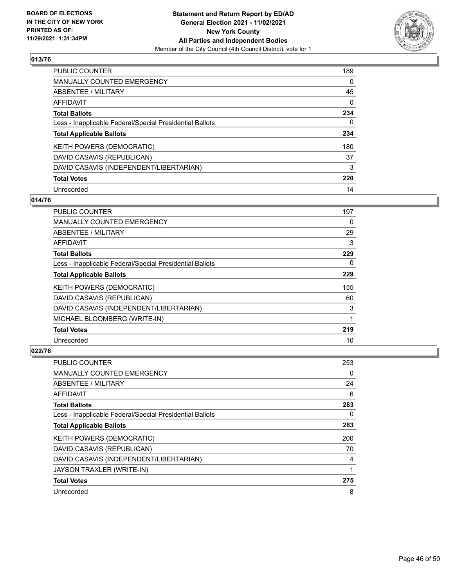

| <b>PUBLIC COUNTER</b>                                    | 189      |
|----------------------------------------------------------|----------|
| MANUALLY COUNTED EMERGENCY                               | $\Omega$ |
| ABSENTEE / MILITARY                                      | 45       |
| AFFIDAVIT                                                | $\Omega$ |
| <b>Total Ballots</b>                                     | 234      |
| Less - Inapplicable Federal/Special Presidential Ballots | 0        |
| <b>Total Applicable Ballots</b>                          | 234      |
| KEITH POWERS (DEMOCRATIC)                                | 180      |
| DAVID CASAVIS (REPUBLICAN)                               | 37       |
| DAVID CASAVIS (INDEPENDENT/LIBERTARIAN)                  | 3        |
| <b>Total Votes</b>                                       | 220      |
| Unrecorded                                               | 14       |

#### **014/76**

| <b>PUBLIC COUNTER</b>                                    | 197 |
|----------------------------------------------------------|-----|
| MANUALLY COUNTED EMERGENCY                               | 0   |
| ABSENTEE / MILITARY                                      | 29  |
| AFFIDAVIT                                                | 3   |
| <b>Total Ballots</b>                                     | 229 |
| Less - Inapplicable Federal/Special Presidential Ballots | 0   |
| <b>Total Applicable Ballots</b>                          | 229 |
| <b>KEITH POWERS (DEMOCRATIC)</b>                         | 155 |
| DAVID CASAVIS (REPUBLICAN)                               | 60  |
| DAVID CASAVIS (INDEPENDENT/LIBERTARIAN)                  | 3   |
| MICHAEL BLOOMBERG (WRITE-IN)                             |     |
| <b>Total Votes</b>                                       | 219 |
| Unrecorded                                               | 10  |

| <b>PUBLIC COUNTER</b>                                    | 253 |
|----------------------------------------------------------|-----|
| MANUALLY COUNTED EMERGENCY                               | 0   |
| ABSENTEE / MILITARY                                      | 24  |
| AFFIDAVIT                                                | 6   |
| <b>Total Ballots</b>                                     | 283 |
| Less - Inapplicable Federal/Special Presidential Ballots | 0   |
| <b>Total Applicable Ballots</b>                          | 283 |
| KEITH POWERS (DEMOCRATIC)                                | 200 |
| DAVID CASAVIS (REPUBLICAN)                               | 70  |
| DAVID CASAVIS (INDEPENDENT/LIBERTARIAN)                  | 4   |
| JAYSON TRAXLER (WRITE-IN)                                | 1   |
| <b>Total Votes</b>                                       | 275 |
| Unrecorded                                               | 8   |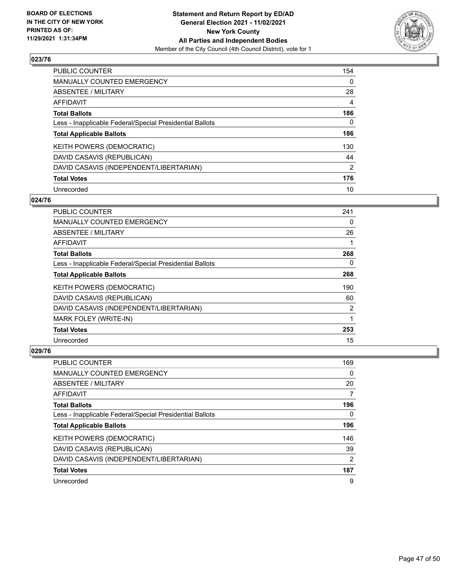

| PUBLIC COUNTER                                           | 154      |
|----------------------------------------------------------|----------|
| MANUALLY COUNTED EMERGENCY                               | $\Omega$ |
| ABSENTEE / MILITARY                                      | 28       |
| AFFIDAVIT                                                | 4        |
| <b>Total Ballots</b>                                     | 186      |
| Less - Inapplicable Federal/Special Presidential Ballots | 0        |
| <b>Total Applicable Ballots</b>                          | 186      |
| KEITH POWERS (DEMOCRATIC)                                | 130      |
| DAVID CASAVIS (REPUBLICAN)                               | 44       |
| DAVID CASAVIS (INDEPENDENT/LIBERTARIAN)                  | 2        |
| <b>Total Votes</b>                                       | 176      |
| Unrecorded                                               | 10       |

#### **024/76**

| <b>PUBLIC COUNTER</b>                                    | 241 |
|----------------------------------------------------------|-----|
| MANUALLY COUNTED EMERGENCY                               | 0   |
| ABSENTEE / MILITARY                                      | 26  |
| AFFIDAVIT                                                |     |
| <b>Total Ballots</b>                                     | 268 |
| Less - Inapplicable Federal/Special Presidential Ballots | 0   |
| <b>Total Applicable Ballots</b>                          | 268 |
| KEITH POWERS (DEMOCRATIC)                                | 190 |
| DAVID CASAVIS (REPUBLICAN)                               | 60  |
| DAVID CASAVIS (INDEPENDENT/LIBERTARIAN)                  | 2   |
| MARK FOLEY (WRITE-IN)                                    | 1   |
| <b>Total Votes</b>                                       | 253 |
| Unrecorded                                               | 15  |

| <b>PUBLIC COUNTER</b>                                    | 169           |
|----------------------------------------------------------|---------------|
| <b>MANUALLY COUNTED EMERGENCY</b>                        | 0             |
| ABSENTEE / MILITARY                                      | 20            |
| AFFIDAVIT                                                | 7             |
| <b>Total Ballots</b>                                     | 196           |
| Less - Inapplicable Federal/Special Presidential Ballots | 0             |
| <b>Total Applicable Ballots</b>                          | 196           |
| KEITH POWERS (DEMOCRATIC)                                | 146           |
| DAVID CASAVIS (REPUBLICAN)                               | 39            |
| DAVID CASAVIS (INDEPENDENT/LIBERTARIAN)                  | $\mathcal{P}$ |
| <b>Total Votes</b>                                       | 187           |
| Unrecorded                                               | 9             |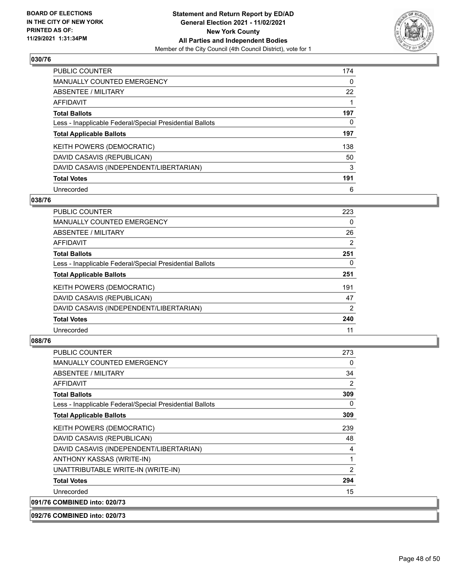

| <b>PUBLIC COUNTER</b>                                    | 174 |
|----------------------------------------------------------|-----|
| <b>MANUALLY COUNTED EMERGENCY</b>                        | 0   |
| ABSENTEE / MILITARY                                      | 22  |
| <b>AFFIDAVIT</b>                                         |     |
| <b>Total Ballots</b>                                     | 197 |
| Less - Inapplicable Federal/Special Presidential Ballots | 0   |
| <b>Total Applicable Ballots</b>                          | 197 |
| KEITH POWERS (DEMOCRATIC)                                | 138 |
| DAVID CASAVIS (REPUBLICAN)                               | 50  |
| DAVID CASAVIS (INDEPENDENT/LIBERTARIAN)                  | 3   |
| <b>Total Votes</b>                                       | 191 |
| Unrecorded                                               | 6   |

#### **038/76**

| <b>PUBLIC COUNTER</b>                                    | 223 |
|----------------------------------------------------------|-----|
| MANUALLY COUNTED EMERGENCY                               | 0   |
| ABSENTEE / MILITARY                                      | 26  |
| <b>AFFIDAVIT</b>                                         | 2   |
| <b>Total Ballots</b>                                     | 251 |
| Less - Inapplicable Federal/Special Presidential Ballots | 0   |
| <b>Total Applicable Ballots</b>                          | 251 |
| KEITH POWERS (DEMOCRATIC)                                | 191 |
| DAVID CASAVIS (REPUBLICAN)                               | 47  |
| DAVID CASAVIS (INDEPENDENT/LIBERTARIAN)                  | 2   |
| <b>Total Votes</b>                                       | 240 |
| Unrecorded                                               | 11  |

## **088/76**

| <b>PUBLIC COUNTER</b>                                    | 273          |
|----------------------------------------------------------|--------------|
| <b>MANUALLY COUNTED EMERGENCY</b>                        | $\Omega$     |
| <b>ABSENTEE / MILITARY</b>                               | 34           |
| AFFIDAVIT                                                | 2            |
| <b>Total Ballots</b>                                     | 309          |
| Less - Inapplicable Federal/Special Presidential Ballots | 0            |
| <b>Total Applicable Ballots</b>                          | 309          |
| KEITH POWERS (DEMOCRATIC)                                | 239          |
| DAVID CASAVIS (REPUBLICAN)                               | 48           |
| DAVID CASAVIS (INDEPENDENT/LIBERTARIAN)                  | 4            |
| ANTHONY KASSAS (WRITE-IN)                                | $\mathbf{1}$ |
| UNATTRIBUTABLE WRITE-IN (WRITE-IN)                       | 2            |
| <b>Total Votes</b>                                       | 294          |
| Unrecorded                                               | 15           |
| 091/76 COMBINED into: 020/73                             |              |

**092/76 COMBINED into: 020/73**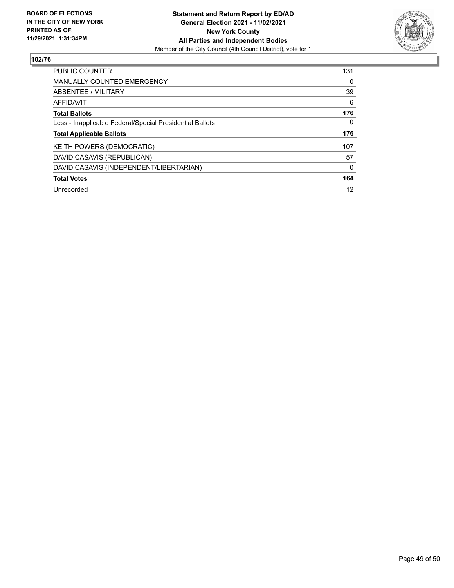

| PUBLIC COUNTER                                           | 131      |
|----------------------------------------------------------|----------|
| <b>MANUALLY COUNTED EMERGENCY</b>                        | 0        |
| ABSENTEE / MILITARY                                      | 39       |
| AFFIDAVIT                                                | 6        |
| <b>Total Ballots</b>                                     | 176      |
| Less - Inapplicable Federal/Special Presidential Ballots | $\Omega$ |
| <b>Total Applicable Ballots</b>                          | 176      |
| <b>KEITH POWERS (DEMOCRATIC)</b>                         | 107      |
| DAVID CASAVIS (REPUBLICAN)                               | 57       |
| DAVID CASAVIS (INDEPENDENT/LIBERTARIAN)                  | $\Omega$ |
| <b>Total Votes</b>                                       | 164      |
| Unrecorded                                               | 12       |